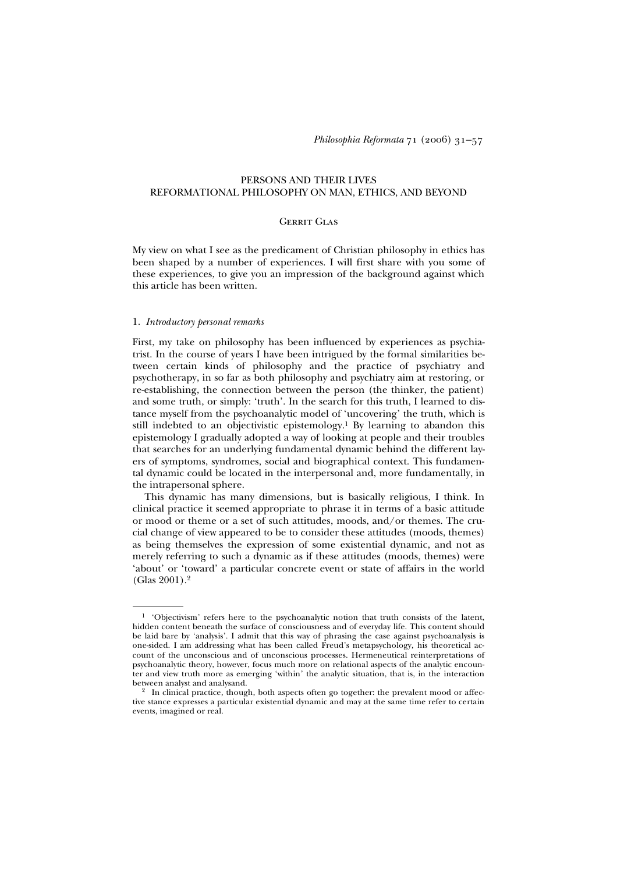# PERSONS AND THEIR LIVES REFORMATIONAL PHILOSOPHY ON MAN, ETHICS, AND BEYOND

#### Gerrit Glas

My view on what I see as the predicament of Christian philosophy in ethics has been shaped by a number of experiences. I will first share with you some of these experiences, to give you an impression of the background against which this article has been written.

#### 1. *Introductory personal remarks*

First, my take on philosophy has been influenced by experiences as psychiatrist. In the course of years I have been intrigued by the formal similarities between certain kinds of philosophy and the practice of psychiatry and psychotherapy, in so far as both philosophy and psychiatry aim at restoring, or re-establishing, the connection between the person (the thinker, the patient) and some truth, or simply: 'truth'. In the search for this truth, I learned to distance myself from the psychoanalytic model of 'uncovering' the truth, which is still indebted to an objectivistic epistemology.<sup>1</sup> By learning to abandon this epistemology I gradually adopted a way of looking at people and their troubles that searches for an underlying fundamental dynamic behind the different layers of symptoms, syndromes, social and biographical context. This fundamental dynamic could be located in the interpersonal and, more fundamentally, in the intrapersonal sphere.

This dynamic has many dimensions, but is basically religious, I think. In clinical practice it seemed appropriate to phrase it in terms of a basic attitude or mood or theme or a set of such attitudes, moods, and/or themes. The crucial change of view appeared to be to consider these attitudes (moods, themes) as being themselves the expression of some existential dynamic, and not as merely referring to such a dynamic as if these attitudes (moods, themes) were 'about' or 'toward' a particular concrete event or state of affairs in the world (Glas 2001).2

<sup>&</sup>lt;sup>1</sup> 'Objectivism' refers here to the psychoanalytic notion that truth consists of the latent, hidden content beneath the surface of consciousness and of everyday life. This content should be laid bare by 'analysis'. I admit that this way of phrasing the case against psychoanalysis is one-sided. I am addressing what has been called Freud's metapsychology, his theoretical account of the unconscious and of unconscious processes. Hermeneutical reinterpretations of psychoanalytic theory, however, focus much more on relational aspects of the analytic encounter and view truth more as emerging 'within' the analytic situation, that is, in the interaction between analyst and analysand.

In clinical practice, though, both aspects often go together: the prevalent mood or affective stance expresses a particular existential dynamic and may at the same time refer to certain events, imagined or real.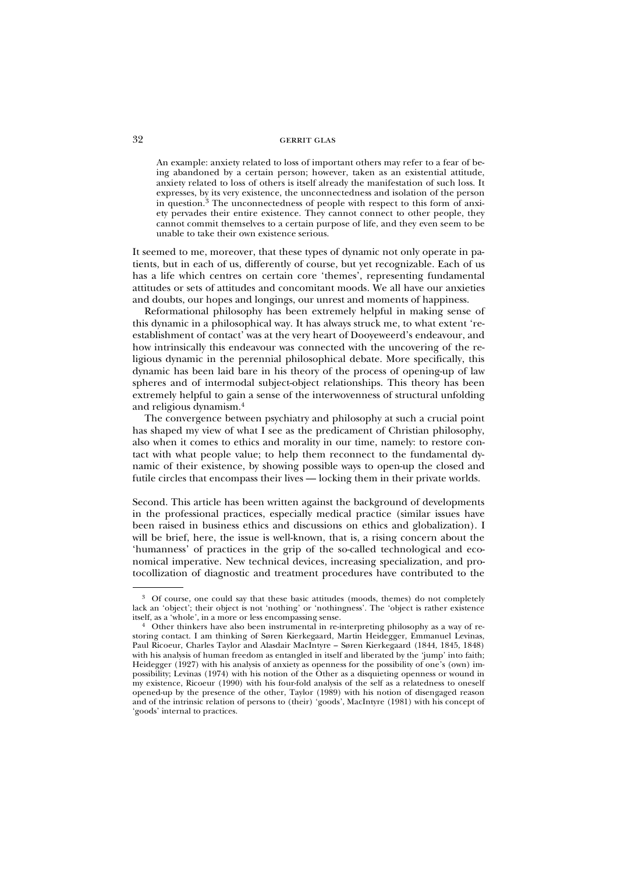An example: anxiety related to loss of important others may refer to a fear of being abandoned by a certain person; however, taken as an existential attitude, anxiety related to loss of others is itself already the manifestation of such loss. It expresses, by its very existence, the unconnectedness and isolation of the person in question.<sup>3</sup> The unconnectedness of people with respect to this form of anxiety pervades their entire existence. They cannot connect to other people, they cannot commit themselves to a certain purpose of life, and they even seem to be unable to take their own existence serious.

It seemed to me, moreover, that these types of dynamic not only operate in patients, but in each of us, differently of course, but yet recognizable. Each of us has a life which centres on certain core 'themes', representing fundamental attitudes or sets of attitudes and concomitant moods. We all have our anxieties and doubts, our hopes and longings, our unrest and moments of happiness.

Reformational philosophy has been extremely helpful in making sense of this dynamic in a philosophical way. It has always struck me, to what extent 'reestablishment of contact' was at the very heart of Dooyeweerd's endeavour, and how intrinsically this endeavour was connected with the uncovering of the religious dynamic in the perennial philosophical debate. More specifically, this dynamic has been laid bare in his theory of the process of opening-up of law spheres and of intermodal subject-object relationships. This theory has been extremely helpful to gain a sense of the interwovenness of structural unfolding and religious dynamism.4

The convergence between psychiatry and philosophy at such a crucial point has shaped my view of what I see as the predicament of Christian philosophy, also when it comes to ethics and morality in our time, namely: to restore contact with what people value; to help them reconnect to the fundamental dynamic of their existence, by showing possible ways to open-up the closed and futile circles that encompass their lives — locking them in their private worlds.

Second. This article has been written against the background of developments in the professional practices, especially medical practice (similar issues have been raised in business ethics and discussions on ethics and globalization). I will be brief, here, the issue is well-known, that is, a rising concern about the 'humanness' of practices in the grip of the so-called technological and economical imperative. New technical devices, increasing specialization, and protocollization of diagnostic and treatment procedures have contributed to the

<sup>&</sup>lt;sup>3</sup> Of course, one could say that these basic attitudes (moods, themes) do not completely lack an 'object'; their object is not 'nothing' or 'nothingness'. The 'object is rather existence itself, as a 'whole', in a more or less encompassing sense.

Other thinkers have also been instrumental in re-interpreting philosophy as a way of restoring contact. I am thinking of Søren Kierkegaard, Martin Heidegger, Emmanuel Levinas, Paul Ricoeur, Charles Taylor and Alasdair MacIntyre – Søren Kierkegaard (1844, 1845, 1848) with his analysis of human freedom as entangled in itself and liberated by the 'jump' into faith; Heidegger (1927) with his analysis of anxiety as openness for the possibility of one's (own) impossibility; Levinas (1974) with his notion of the Other as a disquieting openness or wound in my existence, Ricoeur (1990) with his four-fold analysis of the self as a relatedness to oneself opened-up by the presence of the other, Taylor (1989) with his notion of disengaged reason and of the intrinsic relation of persons to (their) 'goods', MacIntyre (1981) with his concept of 'goods' internal to practices.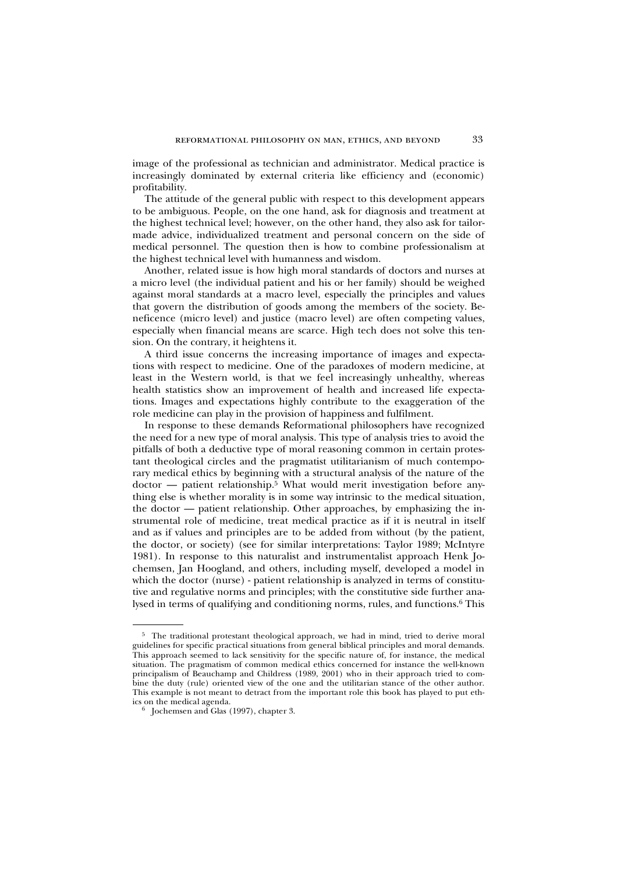image of the professional as technician and administrator. Medical practice is increasingly dominated by external criteria like efficiency and (economic) profitability.

The attitude of the general public with respect to this development appears to be ambiguous. People, on the one hand, ask for diagnosis and treatment at the highest technical level; however, on the other hand, they also ask for tailormade advice, individualized treatment and personal concern on the side of medical personnel. The question then is how to combine professionalism at the highest technical level with humanness and wisdom.

Another, related issue is how high moral standards of doctors and nurses at a micro level (the individual patient and his or her family) should be weighed against moral standards at a macro level, especially the principles and values that govern the distribution of goods among the members of the society. Beneficence (micro level) and justice (macro level) are often competing values, especially when financial means are scarce. High tech does not solve this tension. On the contrary, it heightens it.

A third issue concerns the increasing importance of images and expectations with respect to medicine. One of the paradoxes of modern medicine, at least in the Western world, is that we feel increasingly unhealthy, whereas health statistics show an improvement of health and increased life expectations. Images and expectations highly contribute to the exaggeration of the role medicine can play in the provision of happiness and fulfilment.

In response to these demands Reformational philosophers have recognized the need for a new type of moral analysis. This type of analysis tries to avoid the pitfalls of both a deductive type of moral reasoning common in certain protestant theological circles and the pragmatist utilitarianism of much contemporary medical ethics by beginning with a structural analysis of the nature of the doctor — patient relationship.5 What would merit investigation before anything else is whether morality is in some way intrinsic to the medical situation, the doctor — patient relationship. Other approaches, by emphasizing the instrumental role of medicine, treat medical practice as if it is neutral in itself and as if values and principles are to be added from without (by the patient, the doctor, or society) (see for similar interpretations: Taylor 1989; McIntyre 1981). In response to this naturalist and instrumentalist approach Henk Jochemsen, Jan Hoogland, and others, including myself, developed a model in which the doctor (nurse) - patient relationship is analyzed in terms of constitutive and regulative norms and principles; with the constitutive side further analysed in terms of qualifying and conditioning norms, rules, and functions.6 This

<sup>5</sup> The traditional protestant theological approach, we had in mind, tried to derive moral guidelines for specific practical situations from general biblical principles and moral demands. This approach seemed to lack sensitivity for the specific nature of, for instance, the medical situation. The pragmatism of common medical ethics concerned for instance the well-known principalism of Beauchamp and Childress (1989, 2001) who in their approach tried to combine the duty (rule) oriented view of the one and the utilitarian stance of the other author. This example is not meant to detract from the important role this book has played to put ethics on the medical agenda.

 $6$  Jochemsen and Glas (1997), chapter 3.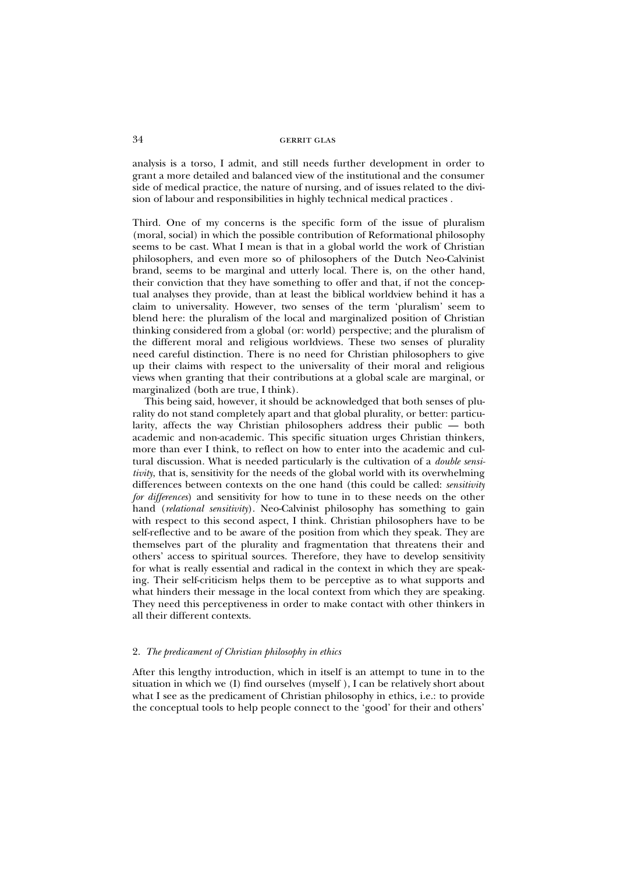analysis is a torso, I admit, and still needs further development in order to grant a more detailed and balanced view of the institutional and the consumer side of medical practice, the nature of nursing, and of issues related to the division of labour and responsibilities in highly technical medical practices .

Third. One of my concerns is the specific form of the issue of pluralism (moral, social) in which the possible contribution of Reformational philosophy seems to be cast. What I mean is that in a global world the work of Christian philosophers, and even more so of philosophers of the Dutch Neo-Calvinist brand, seems to be marginal and utterly local. There is, on the other hand, their conviction that they have something to offer and that, if not the conceptual analyses they provide, than at least the biblical worldview behind it has a claim to universality. However, two senses of the term 'pluralism' seem to blend here: the pluralism of the local and marginalized position of Christian thinking considered from a global (or: world) perspective; and the pluralism of the different moral and religious worldviews. These two senses of plurality need careful distinction. There is no need for Christian philosophers to give up their claims with respect to the universality of their moral and religious views when granting that their contributions at a global scale are marginal, or marginalized (both are true, I think).

This being said, however, it should be acknowledged that both senses of plurality do not stand completely apart and that global plurality, or better: particularity, affects the way Christian philosophers address their public — both academic and non-academic. This specific situation urges Christian thinkers, more than ever I think, to reflect on how to enter into the academic and cultural discussion. What is needed particularly is the cultivation of a *double sensitivity*, that is, sensitivity for the needs of the global world with its overwhelming differences between contexts on the one hand (this could be called: *sensitivity for differences*) and sensitivity for how to tune in to these needs on the other hand (*relational sensitivity*). Neo-Calvinist philosophy has something to gain with respect to this second aspect, I think. Christian philosophers have to be self-reflective and to be aware of the position from which they speak. They are themselves part of the plurality and fragmentation that threatens their and others' access to spiritual sources. Therefore, they have to develop sensitivity for what is really essential and radical in the context in which they are speaking. Their self-criticism helps them to be perceptive as to what supports and what hinders their message in the local context from which they are speaking. They need this perceptiveness in order to make contact with other thinkers in all their different contexts.

## 2. *The predicament of Christian philosophy in ethics*

After this lengthy introduction, which in itself is an attempt to tune in to the situation in which we (I) find ourselves (myself ), I can be relatively short about what I see as the predicament of Christian philosophy in ethics, i.e.: to provide the conceptual tools to help people connect to the 'good' for their and others'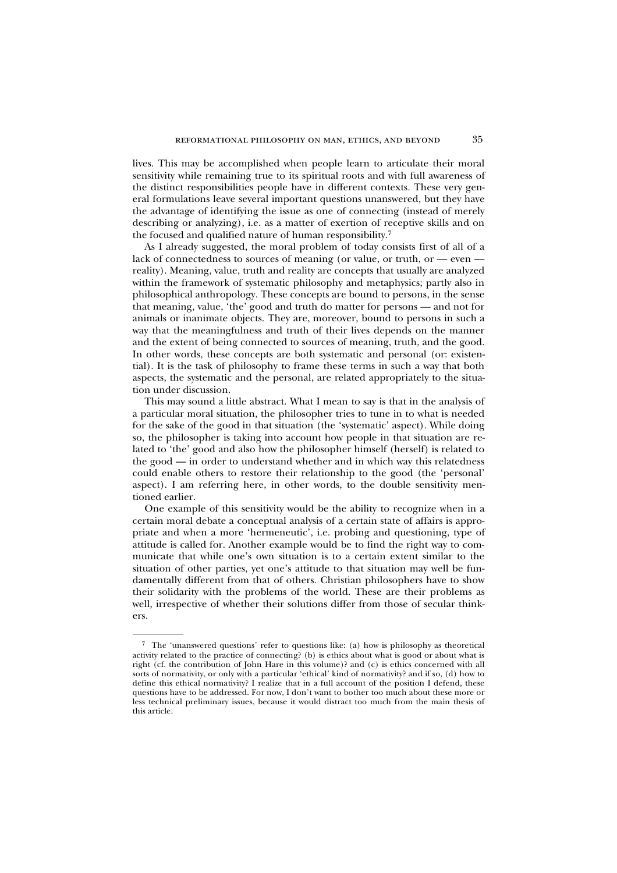lives. This may be accomplished when people learn to articulate their moral sensitivity while remaining true to its spiritual roots and with full awareness of the distinct responsibilities people have in different contexts. These very general formulations leave several important questions unanswered, but they have the advantage of identifying the issue as one of connecting (instead of merely describing or analyzing), i.e. as a matter of exertion of receptive skills and on the focused and qualified nature of human responsibility.7

As I already suggested, the moral problem of today consists first of all of a lack of connectedness to sources of meaning (or value, or truth, or — even reality). Meaning, value, truth and reality are concepts that usually are analyzed within the framework of systematic philosophy and metaphysics; partly also in philosophical anthropology. These concepts are bound to persons, in the sense that meaning, value, 'the' good and truth do matter for persons — and not for animals or inanimate objects. They are, moreover, bound to persons in such a way that the meaningfulness and truth of their lives depends on the manner and the extent of being connected to sources of meaning, truth, and the good. In other words, these concepts are both systematic and personal (or: existential). It is the task of philosophy to frame these terms in such a way that both aspects, the systematic and the personal, are related appropriately to the situation under discussion.

This may sound a little abstract. What I mean to say is that in the analysis of a particular moral situation, the philosopher tries to tune in to what is needed for the sake of the good in that situation (the 'systematic' aspect). While doing so, the philosopher is taking into account how people in that situation are related to 'the' good and also how the philosopher himself (herself) is related to the good — in order to understand whether and in which way this relatedness could enable others to restore their relationship to the good (the 'personal' aspect). I am referring here, in other words, to the double sensitivity mentioned earlier.

One example of this sensitivity would be the ability to recognize when in a certain moral debate a conceptual analysis of a certain state of affairs is appropriate and when a more 'hermeneutic', i.e. probing and questioning, type of attitude is called for. Another example would be to find the right way to communicate that while one's own situation is to a certain extent similar to the situation of other parties, yet one's attitude to that situation may well be fundamentally different from that of others. Christian philosophers have to show their solidarity with the problems of the world. These are their problems as well, irrespective of whether their solutions differ from those of secular thinkers.

<sup>7</sup> The 'unanswered questions' refer to questions like: (a) how is philosophy as theoretical activity related to the practice of connecting? (b) is ethics about what is good or about what is right (cf. the contribution of John Hare in this volume)? and (c) is ethics concerned with all sorts of normativity, or only with a particular 'ethical' kind of normativity? and if so, (d) how to define this ethical normativity? I realize that in a full account of the position I defend, these questions have to be addressed. For now, I don't want to bother too much about these more or less technical preliminary issues, because it would distract too much from the main thesis of this article.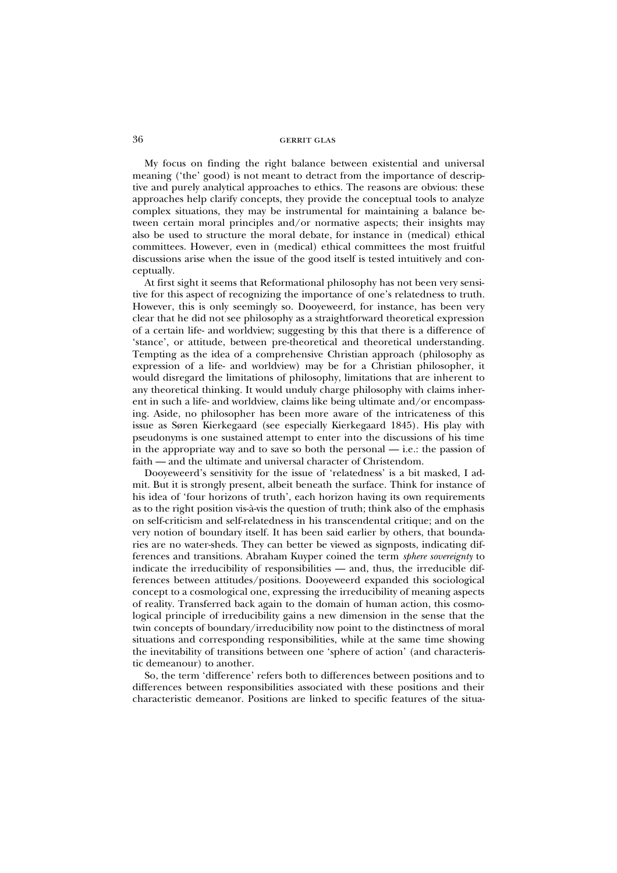My focus on finding the right balance between existential and universal meaning ('the' good) is not meant to detract from the importance of descriptive and purely analytical approaches to ethics. The reasons are obvious: these approaches help clarify concepts, they provide the conceptual tools to analyze complex situations, they may be instrumental for maintaining a balance between certain moral principles and/or normative aspects; their insights may also be used to structure the moral debate, for instance in (medical) ethical committees. However, even in (medical) ethical committees the most fruitful discussions arise when the issue of the good itself is tested intuitively and conceptually.

At first sight it seems that Reformational philosophy has not been very sensitive for this aspect of recognizing the importance of one's relatedness to truth. However, this is only seemingly so. Dooyeweerd, for instance, has been very clear that he did not see philosophy as a straightforward theoretical expression of a certain life- and worldview; suggesting by this that there is a difference of 'stance', or attitude, between pre-theoretical and theoretical understanding. Tempting as the idea of a comprehensive Christian approach (philosophy as expression of a life- and worldview) may be for a Christian philosopher, it would disregard the limitations of philosophy, limitations that are inherent to any theoretical thinking. It would unduly charge philosophy with claims inherent in such a life- and worldview, claims like being ultimate and/or encompassing. Aside, no philosopher has been more aware of the intricateness of this issue as Søren Kierkegaard (see especially Kierkegaard 1845). His play with pseudonyms is one sustained attempt to enter into the discussions of his time in the appropriate way and to save so both the personal — i.e.: the passion of faith — and the ultimate and universal character of Christendom.

Dooyeweerd's sensitivity for the issue of 'relatedness' is a bit masked, I admit. But it is strongly present, albeit beneath the surface. Think for instance of his idea of 'four horizons of truth', each horizon having its own requirements as to the right position vis-à-vis the question of truth; think also of the emphasis on self-criticism and self-relatedness in his transcendental critique; and on the very notion of boundary itself. It has been said earlier by others, that boundaries are no water-sheds. They can better be viewed as signposts, indicating differences and transitions. Abraham Kuyper coined the term *sphere sovereignty* to indicate the irreducibility of responsibilities — and, thus, the irreducible differences between attitudes/positions. Dooyeweerd expanded this sociological concept to a cosmological one, expressing the irreducibility of meaning aspects of reality. Transferred back again to the domain of human action, this cosmological principle of irreducibility gains a new dimension in the sense that the twin concepts of boundary/irreducibility now point to the distinctness of moral situations and corresponding responsibilities, while at the same time showing the inevitability of transitions between one 'sphere of action' (and characteristic demeanour) to another.

So, the term 'difference' refers both to differences between positions and to differences between responsibilities associated with these positions and their characteristic demeanor. Positions are linked to specific features of the situa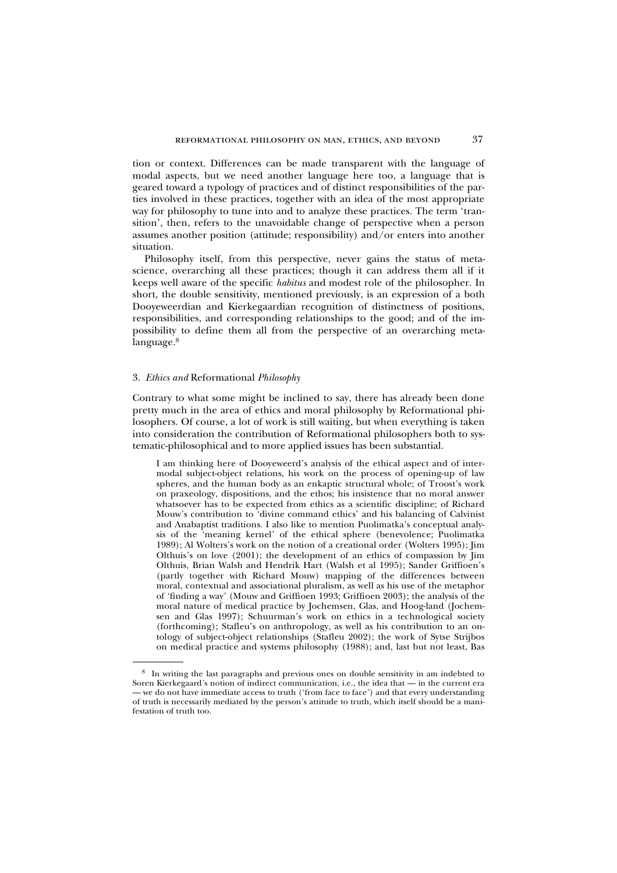tion or context. Differences can be made transparent with the language of modal aspects, but we need another language here too, a language that is geared toward a typology of practices and of distinct responsibilities of the parties involved in these practices, together with an idea of the most appropriate way for philosophy to tune into and to analyze these practices. The term 'transition', then, refers to the unavoidable change of perspective when a person assumes another position (attitude; responsibility) and/or enters into another situation.

Philosophy itself, from this perspective, never gains the status of metascience, overarching all these practices; though it can address them all if it keeps well aware of the specific *habitus* and modest role of the philosopher. In short, the double sensitivity, mentioned previously, is an expression of a both Dooyeweerdian and Kierkegaardian recognition of distinctness of positions, responsibilities, and corresponding relationships to the good; and of the impossibility to define them all from the perspective of an overarching metalanguage.8

#### 3. *Ethics and* Reformational *Philosophy*

Contrary to what some might be inclined to say, there has already been done pretty much in the area of ethics and moral philosophy by Reformational philosophers. Of course, a lot of work is still waiting, but when everything is taken into consideration the contribution of Reformational philosophers both to systematic-philosophical and to more applied issues has been substantial.

I am thinking here of Dooyeweerd's analysis of the ethical aspect and of intermodal subject-object relations, his work on the process of opening-up of law spheres, and the human body as an enkaptic structural whole; of Troost's work on praxeology, dispositions, and the ethos; his insistence that no moral answer whatsoever has to be expected from ethics as a scientific discipline; of Richard Mouw's contribution to 'divine command ethics' and his balancing of Calvinist and Anabaptist traditions. I also like to mention Puolimatka's conceptual analysis of the 'meaning kernel' of the ethical sphere (benevolence; Puolimatka 1989); Al Wolters's work on the notion of a creational order (Wolters 1995); Jim Olthuis's on love (2001); the development of an ethics of compassion by Jim Olthuis, Brian Walsh and Hendrik Hart (Walsh et al 1995); Sander Griffioen's (partly together with Richard Mouw) mapping of the differences between moral, contextual and associational pluralism, as well as his use of the metaphor of 'finding a way' (Mouw and Griffioen 1993; Griffioen 2003); the analysis of the moral nature of medical practice by Jochemsen, Glas, and Hoog-land (Jochemsen and Glas 1997); Schuurman's work on ethics in a technological society (forthcoming); Stafleu's on anthropology, as well as his contribution to an ontology of subject-object relationships (Stafleu 2002); the work of Sytse Strijbos on medical practice and systems philosophy (1988); and, last but not least, Bas

<sup>8</sup> In writing the last paragraphs and previous ones on double sensitivity in am indebted to Soren Kierkegaard's notion of indirect communication, i.e., the idea that — in the current era — we do not have immediate access to truth ('from face to face') and that every understanding of truth is necessarily mediated by the person's attitude to truth, which itself should be a manifestation of truth too.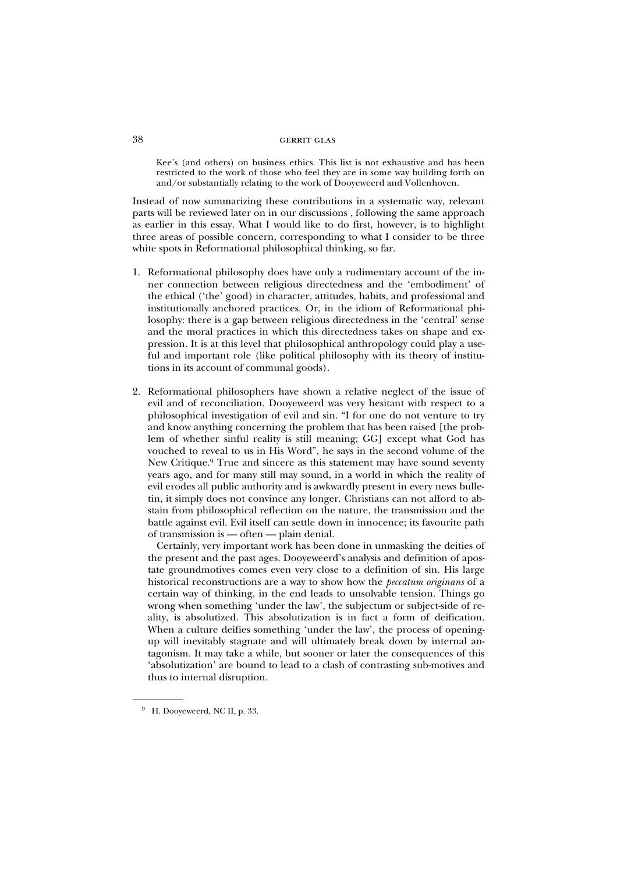Kee's (and others) on business ethics. This list is not exhaustive and has been restricted to the work of those who feel they are in some way building forth on and/or substantially relating to the work of Dooyeweerd and Vollenhoven.

Instead of now summarizing these contributions in a systematic way, relevant parts will be reviewed later on in our discussions , following the same approach as earlier in this essay. What I would like to do first, however, is to highlight three areas of possible concern, corresponding to what I consider to be three white spots in Reformational philosophical thinking, so far.

- 1. Reformational philosophy does have only a rudimentary account of the inner connection between religious directedness and the 'embodiment' of the ethical ('the' good) in character, attitudes, habits, and professional and institutionally anchored practices. Or, in the idiom of Reformational philosophy: there is a gap between religious directedness in the 'central' sense and the moral practices in which this directedness takes on shape and expression. It is at this level that philosophical anthropology could play a useful and important role (like political philosophy with its theory of institutions in its account of communal goods).
- 2. Reformational philosophers have shown a relative neglect of the issue of evil and of reconciliation. Dooyeweerd was very hesitant with respect to a philosophical investigation of evil and sin. "I for one do not venture to try and know anything concerning the problem that has been raised [the problem of whether sinful reality is still meaning; GG] except what God has vouched to reveal to us in His Word", he says in the second volume of the New Critique.9 True and sincere as this statement may have sound seventy years ago, and for many still may sound, in a world in which the reality of evil erodes all public authority and is awkwardly present in every news bulletin, it simply does not convince any longer. Christians can not afford to abstain from philosophical reflection on the nature, the transmission and the battle against evil. Evil itself can settle down in innocence; its favourite path of transmission is — often — plain denial.

Certainly, very important work has been done in unmasking the deities of the present and the past ages. Dooyeweerd's analysis and definition of apostate groundmotives comes even very close to a definition of sin. His large historical reconstructions are a way to show how the *peccatum originans* of a certain way of thinking, in the end leads to unsolvable tension. Things go wrong when something 'under the law', the subjectum or subject-side of reality, is absolutized. This absolutization is in fact a form of deification. When a culture deifies something 'under the law', the process of openingup will inevitably stagnate and will ultimately break down by internal antagonism. It may take a while, but sooner or later the consequences of this 'absolutization' are bound to lead to a clash of contrasting sub-motives and thus to internal disruption.

<sup>9</sup> H. Dooyeweerd, NC II, p. 33.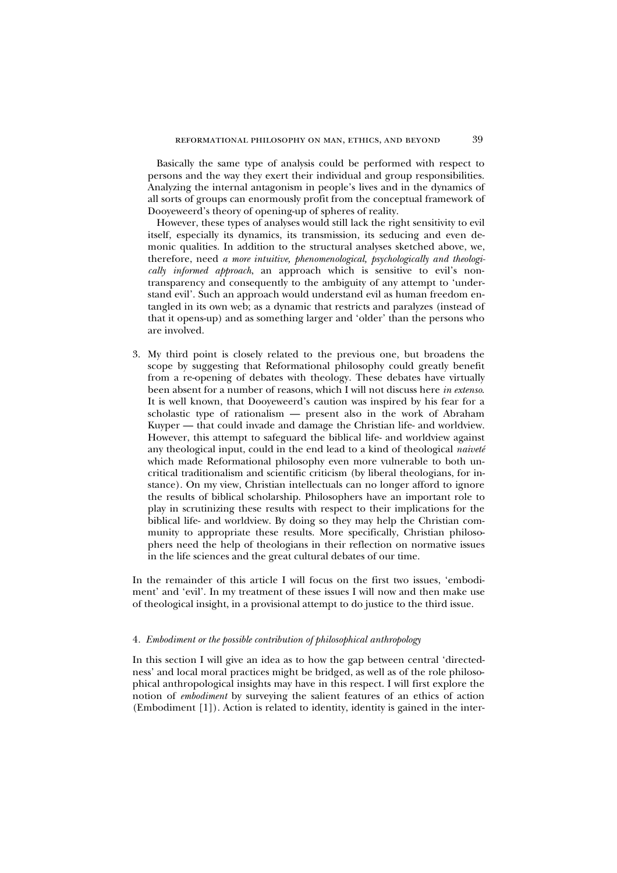Basically the same type of analysis could be performed with respect to persons and the way they exert their individual and group responsibilities. Analyzing the internal antagonism in people's lives and in the dynamics of all sorts of groups can enormously profit from the conceptual framework of Dooyeweerd's theory of opening-up of spheres of reality.

However, these types of analyses would still lack the right sensitivity to evil itself, especially its dynamics, its transmission, its seducing and even demonic qualities. In addition to the structural analyses sketched above, we, therefore, need *a more intuitive, phenomenological, psychologically and theologically informed approach*, an approach which is sensitive to evil's nontransparency and consequently to the ambiguity of any attempt to 'understand evil'. Such an approach would understand evil as human freedom entangled in its own web; as a dynamic that restricts and paralyzes (instead of that it opens-up) and as something larger and 'older' than the persons who are involved.

3. My third point is closely related to the previous one, but broadens the scope by suggesting that Reformational philosophy could greatly benefit from a re-opening of debates with theology. These debates have virtually been absent for a number of reasons, which I will not discuss here *in extenso*. It is well known, that Dooyeweerd's caution was inspired by his fear for a scholastic type of rationalism — present also in the work of Abraham Kuyper — that could invade and damage the Christian life- and worldview. However, this attempt to safeguard the biblical life- and worldview against any theological input, could in the end lead to a kind of theological *naiveté* which made Reformational philosophy even more vulnerable to both uncritical traditionalism and scientific criticism (by liberal theologians, for instance). On my view, Christian intellectuals can no longer afford to ignore the results of biblical scholarship. Philosophers have an important role to play in scrutinizing these results with respect to their implications for the biblical life- and worldview. By doing so they may help the Christian community to appropriate these results. More specifically, Christian philosophers need the help of theologians in their reflection on normative issues in the life sciences and the great cultural debates of our time.

In the remainder of this article I will focus on the first two issues, 'embodiment' and 'evil'. In my treatment of these issues I will now and then make use of theological insight, in a provisional attempt to do justice to the third issue.

#### 4*. Embodiment or the possible contribution of philosophical anthropology*

In this section I will give an idea as to how the gap between central 'directedness' and local moral practices might be bridged, as well as of the role philosophical anthropological insights may have in this respect. I will first explore the notion of *embodiment* by surveying the salient features of an ethics of action (Embodiment [1]). Action is related to identity, identity is gained in the inter-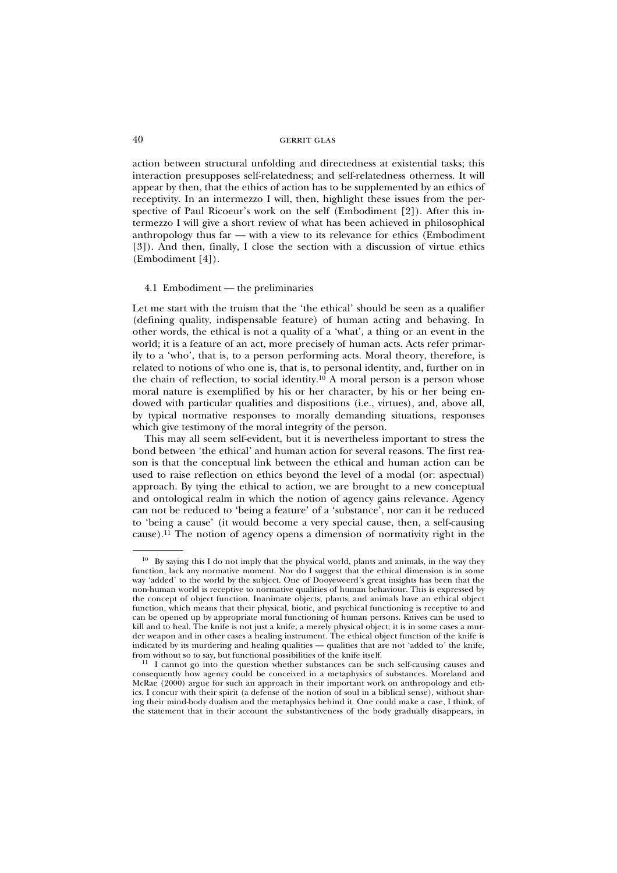action between structural unfolding and directedness at existential tasks; this interaction presupposes self-relatedness; and self-relatedness otherness. It will appear by then, that the ethics of action has to be supplemented by an ethics of receptivity. In an intermezzo I will, then, highlight these issues from the perspective of Paul Ricoeur's work on the self (Embodiment [2]). After this intermezzo I will give a short review of what has been achieved in philosophical anthropology thus far — with a view to its relevance for ethics (Embodiment [3]). And then, finally, I close the section with a discussion of virtue ethics (Embodiment [4]).

#### 4.1 Embodiment — the preliminaries

Let me start with the truism that the 'the ethical' should be seen as a qualifier (defining quality, indispensable feature) of human acting and behaving. In other words, the ethical is not a quality of a 'what', a thing or an event in the world; it is a feature of an act, more precisely of human acts. Acts refer primarily to a 'who', that is, to a person performing acts. Moral theory, therefore, is related to notions of who one is, that is, to personal identity, and, further on in the chain of reflection, to social identity.<sup>10</sup> A moral person is a person whose moral nature is exemplified by his or her character, by his or her being endowed with particular qualities and dispositions (i.e., virtues), and, above all, by typical normative responses to morally demanding situations, responses which give testimony of the moral integrity of the person.

This may all seem self-evident, but it is nevertheless important to stress the bond between 'the ethical' and human action for several reasons. The first reason is that the conceptual link between the ethical and human action can be used to raise reflection on ethics beyond the level of a modal (or: aspectual) approach. By tying the ethical to action, we are brought to a new conceptual and ontological realm in which the notion of agency gains relevance. Agency can not be reduced to 'being a feature' of a 'substance', nor can it be reduced to 'being a cause' (it would become a very special cause, then, a self-causing cause).11 The notion of agency opens a dimension of normativity right in the

 $10$  By saying this I do not imply that the physical world, plants and animals, in the way they function, lack any normative moment. Nor do I suggest that the ethical dimension is in some way 'added' to the world by the subject. One of Dooyeweerd's great insights has been that the non-human world is receptive to normative qualities of human behaviour. This is expressed by the concept of object function. Inanimate objects, plants, and animals have an ethical object function, which means that their physical, biotic, and psychical functioning is receptive to and can be opened up by appropriate moral functioning of human persons. Knives can be used to kill and to heal. The knife is not just a knife, a merely physical object; it is in some cases a murder weapon and in other cases a healing instrument. The ethical object function of the knife is indicated by its murdering and healing qualities — qualities that are not 'added to' the knife, from without so to say, but functional possibilities of the knife itself.

<sup>&</sup>lt;sup>11</sup> I cannot go into the question whether substances can be such self-causing causes and consequently how agency could be conceived in a metaphysics of substances. Moreland and McRae (2000) argue for such an approach in their important work on anthropology and ethics. I concur with their spirit (a defense of the notion of soul in a biblical sense), without sharing their mind-body dualism and the metaphysics behind it. One could make a case, I think, of the statement that in their account the substantiveness of the body gradually disappears, in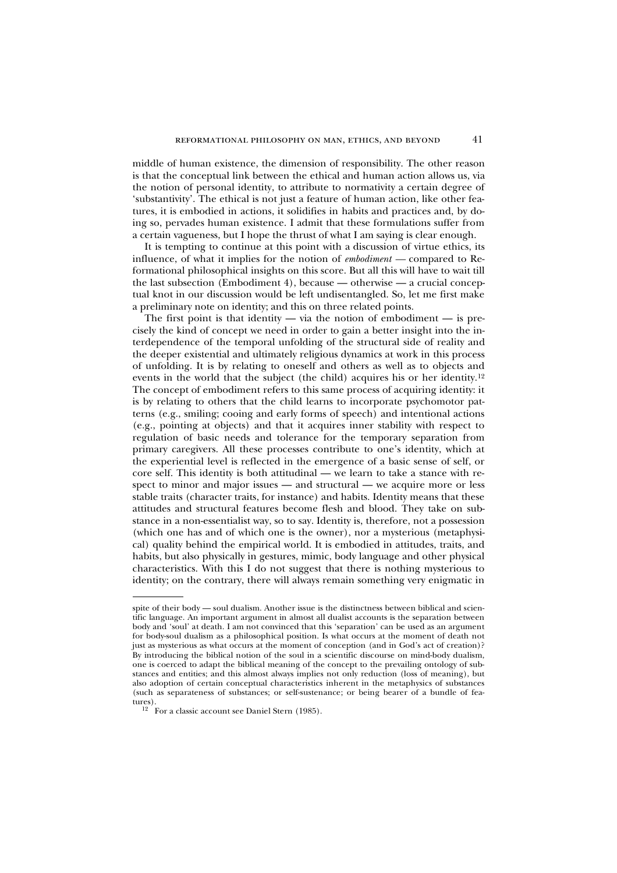middle of human existence, the dimension of responsibility. The other reason is that the conceptual link between the ethical and human action allows us, via the notion of personal identity, to attribute to normativity a certain degree of 'substantivity'. The ethical is not just a feature of human action, like other features, it is embodied in actions, it solidifies in habits and practices and, by doing so, pervades human existence. I admit that these formulations suffer from a certain vagueness, but I hope the thrust of what I am saying is clear enough.

It is tempting to continue at this point with a discussion of virtue ethics, its influence, of what it implies for the notion of *embodiment —* compared to Reformational philosophical insights on this score. But all this will have to wait till the last subsection (Embodiment 4), because — otherwise — a crucial conceptual knot in our discussion would be left undisentangled. So, let me first make a preliminary note on identity; and this on three related points.

The first point is that identity — via the notion of embodiment — is precisely the kind of concept we need in order to gain a better insight into the interdependence of the temporal unfolding of the structural side of reality and the deeper existential and ultimately religious dynamics at work in this process of unfolding. It is by relating to oneself and others as well as to objects and events in the world that the subject (the child) acquires his or her identity.12 The concept of embodiment refers to this same process of acquiring identity: it is by relating to others that the child learns to incorporate psychomotor patterns (e.g., smiling; cooing and early forms of speech) and intentional actions (e.g., pointing at objects) and that it acquires inner stability with respect to regulation of basic needs and tolerance for the temporary separation from primary caregivers. All these processes contribute to one's identity, which at the experiential level is reflected in the emergence of a basic sense of self, or core self. This identity is both attitudinal — we learn to take a stance with respect to minor and major issues — and structural — we acquire more or less stable traits (character traits, for instance) and habits. Identity means that these attitudes and structural features become flesh and blood. They take on substance in a non-essentialist way, so to say. Identity is, therefore, not a possession (which one has and of which one is the owner), nor a mysterious (metaphysical) quality behind the empirical world. It is embodied in attitudes, traits, and habits, but also physically in gestures, mimic, body language and other physical characteristics. With this I do not suggest that there is nothing mysterious to identity; on the contrary, there will always remain something very enigmatic in

spite of their body — soul dualism. Another issue is the distinctness between biblical and scientific language. An important argument in almost all dualist accounts is the separation between body and 'soul' at death. I am not convinced that this 'separation' can be used as an argument for body-soul dualism as a philosophical position. Is what occurs at the moment of death not just as mysterious as what occurs at the moment of conception (and in God's act of creation)? By introducing the biblical notion of the soul in a scientific discourse on mind-body dualism, one is coerced to adapt the biblical meaning of the concept to the prevailing ontology of substances and entities; and this almost always implies not only reduction (loss of meaning), but also adoption of certain conceptual characteristics inherent in the metaphysics of substances (such as separateness of substances; or self-sustenance; or being bearer of a bundle of features).

 $12^{12}$  For a classic account see Daniel Stern (1985).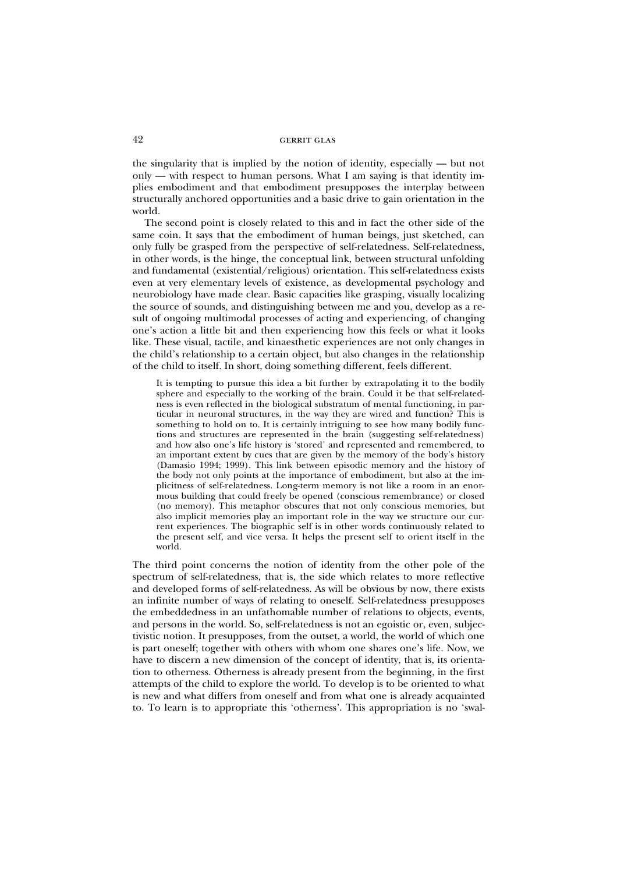the singularity that is implied by the notion of identity, especially — but not only — with respect to human persons. What I am saying is that identity implies embodiment and that embodiment presupposes the interplay between structurally anchored opportunities and a basic drive to gain orientation in the world.

The second point is closely related to this and in fact the other side of the same coin. It says that the embodiment of human beings, just sketched, can only fully be grasped from the perspective of self-relatedness. Self-relatedness, in other words, is the hinge, the conceptual link, between structural unfolding and fundamental (existential/religious) orientation. This self-relatedness exists even at very elementary levels of existence, as developmental psychology and neurobiology have made clear. Basic capacities like grasping, visually localizing the source of sounds, and distinguishing between me and you, develop as a result of ongoing multimodal processes of acting and experiencing, of changing one's action a little bit and then experiencing how this feels or what it looks like. These visual, tactile, and kinaesthetic experiences are not only changes in the child's relationship to a certain object, but also changes in the relationship of the child to itself. In short, doing something different, feels different.

It is tempting to pursue this idea a bit further by extrapolating it to the bodily sphere and especially to the working of the brain. Could it be that self-relatedness is even reflected in the biological substratum of mental functioning, in particular in neuronal structures, in the way they are wired and function? This is something to hold on to. It is certainly intriguing to see how many bodily functions and structures are represented in the brain (suggesting self-relatedness) and how also one's life history is 'stored' and represented and remembered, to an important extent by cues that are given by the memory of the body's history (Damasio 1994; 1999). This link between episodic memory and the history of the body not only points at the importance of embodiment, but also at the implicitness of self-relatedness. Long-term memory is not like a room in an enormous building that could freely be opened (conscious remembrance) or closed (no memory). This metaphor obscures that not only conscious memories, but also implicit memories play an important role in the way we structure our current experiences. The biographic self is in other words continuously related to the present self, and vice versa. It helps the present self to orient itself in the world.

The third point concerns the notion of identity from the other pole of the spectrum of self-relatedness, that is, the side which relates to more reflective and developed forms of self-relatedness. As will be obvious by now, there exists an infinite number of ways of relating to oneself. Self-relatedness presupposes the embeddedness in an unfathomable number of relations to objects, events, and persons in the world. So, self-relatedness is not an egoistic or, even, subjectivistic notion. It presupposes, from the outset, a world, the world of which one is part oneself; together with others with whom one shares one's life. Now, we have to discern a new dimension of the concept of identity, that is, its orientation to otherness. Otherness is already present from the beginning, in the first attempts of the child to explore the world. To develop is to be oriented to what is new and what differs from oneself and from what one is already acquainted to. To learn is to appropriate this 'otherness'. This appropriation is no 'swal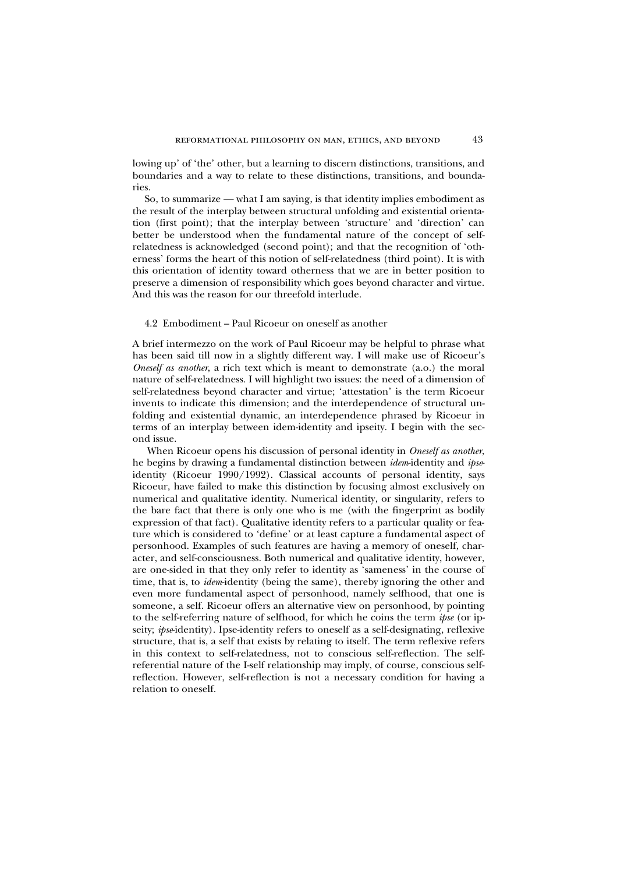lowing up' of 'the' other, but a learning to discern distinctions, transitions, and boundaries and a way to relate to these distinctions, transitions, and boundaries.

So, to summarize — what I am saying, is that identity implies embodiment as the result of the interplay between structural unfolding and existential orientation (first point); that the interplay between 'structure' and 'direction' can better be understood when the fundamental nature of the concept of selfrelatedness is acknowledged (second point); and that the recognition of 'otherness' forms the heart of this notion of self-relatedness (third point). It is with this orientation of identity toward otherness that we are in better position to preserve a dimension of responsibility which goes beyond character and virtue. And this was the reason for our threefold interlude.

# 4.2 Embodiment – Paul Ricoeur on oneself as another

A brief intermezzo on the work of Paul Ricoeur may be helpful to phrase what has been said till now in a slightly different way. I will make use of Ricoeur's *Oneself as another*, a rich text which is meant to demonstrate (a.o.) the moral nature of self-relatedness. I will highlight two issues: the need of a dimension of self-relatedness beyond character and virtue; 'attestation' is the term Ricoeur invents to indicate this dimension; and the interdependence of structural unfolding and existential dynamic, an interdependence phrased by Ricoeur in terms of an interplay between idem-identity and ipseity. I begin with the second issue.

 When Ricoeur opens his discussion of personal identity in *Oneself as another*, he begins by drawing a fundamental distinction between *idem*-identity and *ipse*identity (Ricoeur 1990/1992). Classical accounts of personal identity, says Ricoeur, have failed to make this distinction by focusing almost exclusively on numerical and qualitative identity. Numerical identity, or singularity, refers to the bare fact that there is only one who is me (with the fingerprint as bodily expression of that fact). Qualitative identity refers to a particular quality or feature which is considered to 'define' or at least capture a fundamental aspect of personhood. Examples of such features are having a memory of oneself, character, and self-consciousness. Both numerical and qualitative identity, however, are one-sided in that they only refer to identity as 'sameness' in the course of time, that is, to *idem*-identity (being the same), thereby ignoring the other and even more fundamental aspect of personhood, namely selfhood, that one is someone, a self. Ricoeur offers an alternative view on personhood, by pointing to the self-referring nature of selfhood, for which he coins the term *ipse* (or ipseity; *ipse*-identity). Ipse-identity refers to oneself as a self-designating, reflexive structure, that is, a self that exists by relating to itself. The term reflexive refers in this context to self-relatedness, not to conscious self-reflection. The selfreferential nature of the I-self relationship may imply, of course, conscious selfreflection. However, self-reflection is not a necessary condition for having a relation to oneself.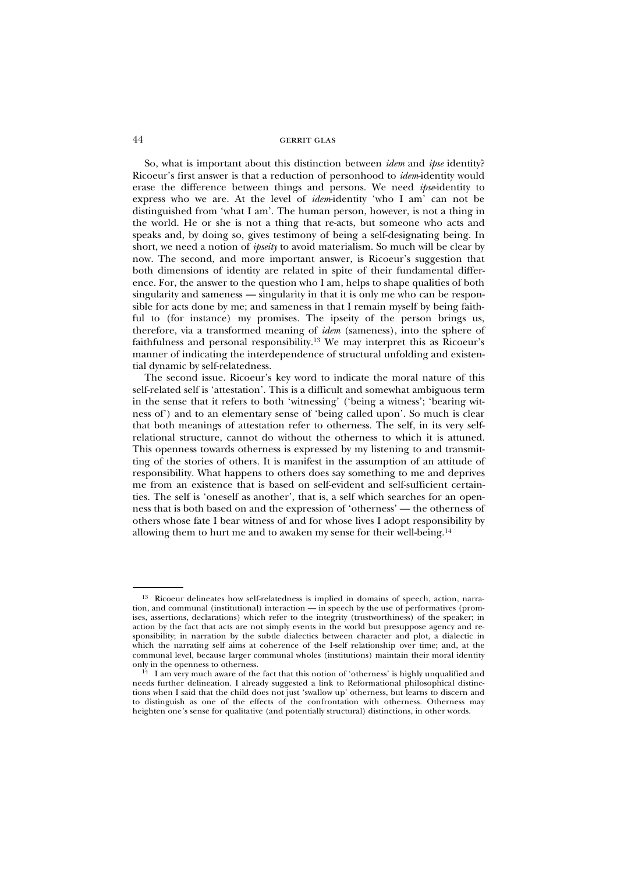So, what is important about this distinction between *idem* and *ipse* identity? Ricoeur's first answer is that a reduction of personhood to *idem*-identity would erase the difference between things and persons. We need *ipse*-identity to express who we are. At the level of *idem*-identity 'who I am' can not be distinguished from 'what I am'. The human person, however, is not a thing in the world. He or she is not a thing that re-acts, but someone who acts and speaks and, by doing so, gives testimony of being a self-designating being. In short, we need a notion of *ipseity* to avoid materialism. So much will be clear by now. The second, and more important answer, is Ricoeur's suggestion that both dimensions of identity are related in spite of their fundamental difference. For, the answer to the question who I am, helps to shape qualities of both singularity and sameness — singularity in that it is only me who can be responsible for acts done by me; and sameness in that I remain myself by being faithful to (for instance) my promises. The ipseity of the person brings us, therefore, via a transformed meaning of *idem* (sameness), into the sphere of faithfulness and personal responsibility.13 We may interpret this as Ricoeur's manner of indicating the interdependence of structural unfolding and existential dynamic by self-relatedness.

The second issue. Ricoeur's key word to indicate the moral nature of this self-related self is 'attestation'. This is a difficult and somewhat ambiguous term in the sense that it refers to both 'witnessing' ('being a witness'; 'bearing witness of') and to an elementary sense of 'being called upon'. So much is clear that both meanings of attestation refer to otherness. The self, in its very selfrelational structure, cannot do without the otherness to which it is attuned. This openness towards otherness is expressed by my listening to and transmitting of the stories of others. It is manifest in the assumption of an attitude of responsibility. What happens to others does say something to me and deprives me from an existence that is based on self-evident and self-sufficient certainties. The self is 'oneself as another', that is, a self which searches for an openness that is both based on and the expression of 'otherness' — the otherness of others whose fate I bear witness of and for whose lives I adopt responsibility by allowing them to hurt me and to awaken my sense for their well-being.14

<sup>13</sup> Ricoeur delineates how self-relatedness is implied in domains of speech, action, narration, and communal (institutional) interaction — in speech by the use of performatives (promises, assertions, declarations) which refer to the integrity (trustworthiness) of the speaker; in action by the fact that acts are not simply events in the world but presuppose agency and responsibility; in narration by the subtle dialectics between character and plot, a dialectic in which the narrating self aims at coherence of the I-self relationship over time; and, at the communal level, because larger communal wholes (institutions) maintain their moral identity only in the openness to otherness.

 $14$  I am very much aware of the fact that this notion of 'otherness' is highly unqualified and needs further delineation. I already suggested a link to Reformational philosophical distinctions when I said that the child does not just 'swallow up' otherness, but learns to discern and to distinguish as one of the effects of the confrontation with otherness. Otherness may heighten one's sense for qualitative (and potentially structural) distinctions, in other words.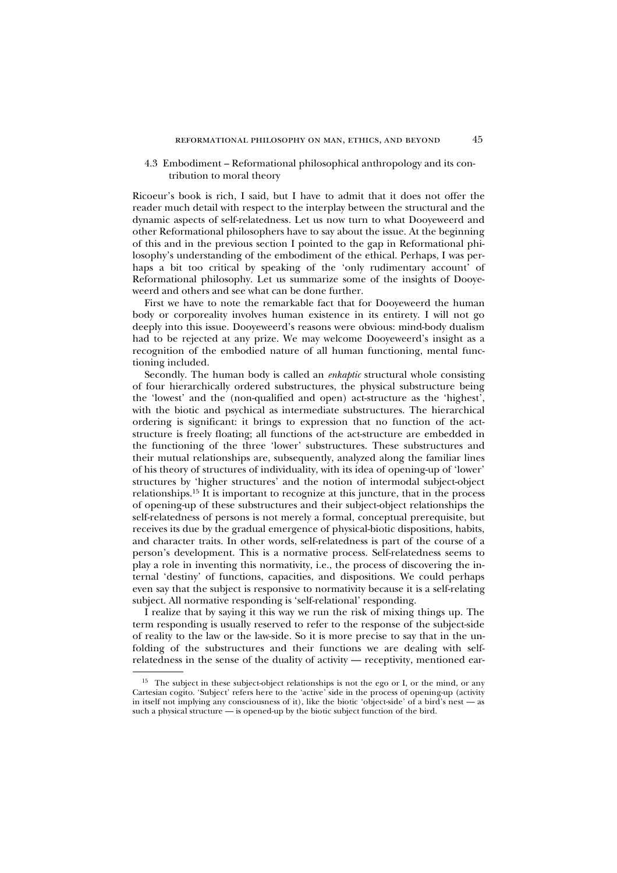4.3 Embodiment – Reformational philosophical anthropology and its contribution to moral theory

Ricoeur's book is rich, I said, but I have to admit that it does not offer the reader much detail with respect to the interplay between the structural and the dynamic aspects of self-relatedness. Let us now turn to what Dooyeweerd and other Reformational philosophers have to say about the issue. At the beginning of this and in the previous section I pointed to the gap in Reformational philosophy's understanding of the embodiment of the ethical. Perhaps, I was perhaps a bit too critical by speaking of the 'only rudimentary account' of Reformational philosophy. Let us summarize some of the insights of Dooyeweerd and others and see what can be done further.

First we have to note the remarkable fact that for Dooyeweerd the human body or corporeality involves human existence in its entirety. I will not go deeply into this issue. Dooyeweerd's reasons were obvious: mind-body dualism had to be rejected at any prize. We may welcome Dooyeweerd's insight as a recognition of the embodied nature of all human functioning, mental functioning included.

Secondly. The human body is called an *enkaptic* structural whole consisting of four hierarchically ordered substructures, the physical substructure being the 'lowest' and the (non-qualified and open) act-structure as the 'highest', with the biotic and psychical as intermediate substructures. The hierarchical ordering is significant: it brings to expression that no function of the actstructure is freely floating; all functions of the act-structure are embedded in the functioning of the three 'lower' substructures. These substructures and their mutual relationships are, subsequently, analyzed along the familiar lines of his theory of structures of individuality, with its idea of opening-up of 'lower' structures by 'higher structures' and the notion of intermodal subject-object relationships.15 It is important to recognize at this juncture, that in the process of opening-up of these substructures and their subject-object relationships the self-relatedness of persons is not merely a formal, conceptual prerequisite, but receives its due by the gradual emergence of physical-biotic dispositions, habits, and character traits. In other words, self-relatedness is part of the course of a person's development. This is a normative process. Self-relatedness seems to play a role in inventing this normativity, i.e., the process of discovering the internal 'destiny' of functions, capacities, and dispositions. We could perhaps even say that the subject is responsive to normativity because it is a self-relating subject. All normative responding is 'self-relational' responding.

I realize that by saying it this way we run the risk of mixing things up. The term responding is usually reserved to refer to the response of the subject-side of reality to the law or the law-side. So it is more precise to say that in the unfolding of the substructures and their functions we are dealing with selfrelatedness in the sense of the duality of activity — receptivity, mentioned ear-

<sup>&</sup>lt;sup>15</sup> The subject in these subject-object relationships is not the ego or I, or the mind, or any Cartesian cogito. 'Subject' refers here to the 'active' side in the process of opening-up (activity in itself not implying any consciousness of it), like the biotic 'object-side' of a bird's nest — as such a physical structure — is opened-up by the biotic subject function of the bird.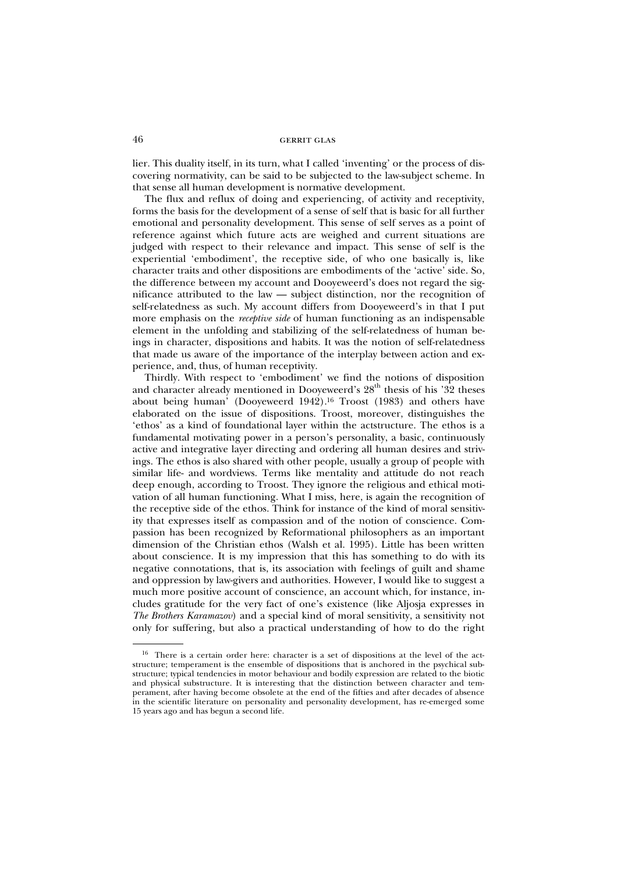lier. This duality itself, in its turn, what I called 'inventing' or the process of discovering normativity, can be said to be subjected to the law-subject scheme. In that sense all human development is normative development.

The flux and reflux of doing and experiencing, of activity and receptivity, forms the basis for the development of a sense of self that is basic for all further emotional and personality development. This sense of self serves as a point of reference against which future acts are weighed and current situations are judged with respect to their relevance and impact. This sense of self is the experiential 'embodiment', the receptive side, of who one basically is, like character traits and other dispositions are embodiments of the 'active' side. So, the difference between my account and Dooyeweerd's does not regard the significance attributed to the law — subject distinction, nor the recognition of self-relatedness as such. My account differs from Dooyeweerd's in that I put more emphasis on the *receptive side* of human functioning as an indispensable element in the unfolding and stabilizing of the self-relatedness of human beings in character, dispositions and habits. It was the notion of self-relatedness that made us aware of the importance of the interplay between action and experience, and, thus, of human receptivity.

Thirdly. With respect to 'embodiment' we find the notions of disposition and character already mentioned in Dooyeweerd's  $28<sup>th</sup>$  thesis of his  $32$  theses about being human' (Dooyeweerd 1942).<sup>16</sup> Troost (1983) and others have elaborated on the issue of dispositions. Troost, moreover, distinguishes the 'ethos' as a kind of foundational layer within the actstructure. The ethos is a fundamental motivating power in a person's personality, a basic, continuously active and integrative layer directing and ordering all human desires and strivings. The ethos is also shared with other people, usually a group of people with similar life- and wordviews. Terms like mentality and attitude do not reach deep enough, according to Troost. They ignore the religious and ethical motivation of all human functioning. What I miss, here, is again the recognition of the receptive side of the ethos. Think for instance of the kind of moral sensitivity that expresses itself as compassion and of the notion of conscience. Compassion has been recognized by Reformational philosophers as an important dimension of the Christian ethos (Walsh et al. 1995). Little has been written about conscience. It is my impression that this has something to do with its negative connotations, that is, its association with feelings of guilt and shame and oppression by law-givers and authorities. However, I would like to suggest a much more positive account of conscience, an account which, for instance, includes gratitude for the very fact of one's existence (like Aljosja expresses in *The Brothers Karamazov*) and a special kind of moral sensitivity, a sensitivity not only for suffering, but also a practical understanding of how to do the right

<sup>&</sup>lt;sup>16</sup> There is a certain order here: character is a set of dispositions at the level of the actstructure; temperament is the ensemble of dispositions that is anchored in the psychical substructure; typical tendencies in motor behaviour and bodily expression are related to the biotic and physical substructure. It is interesting that the distinction between character and temperament, after having become obsolete at the end of the fifties and after decades of absence in the scientific literature on personality and personality development, has re-emerged some 15 years ago and has begun a second life.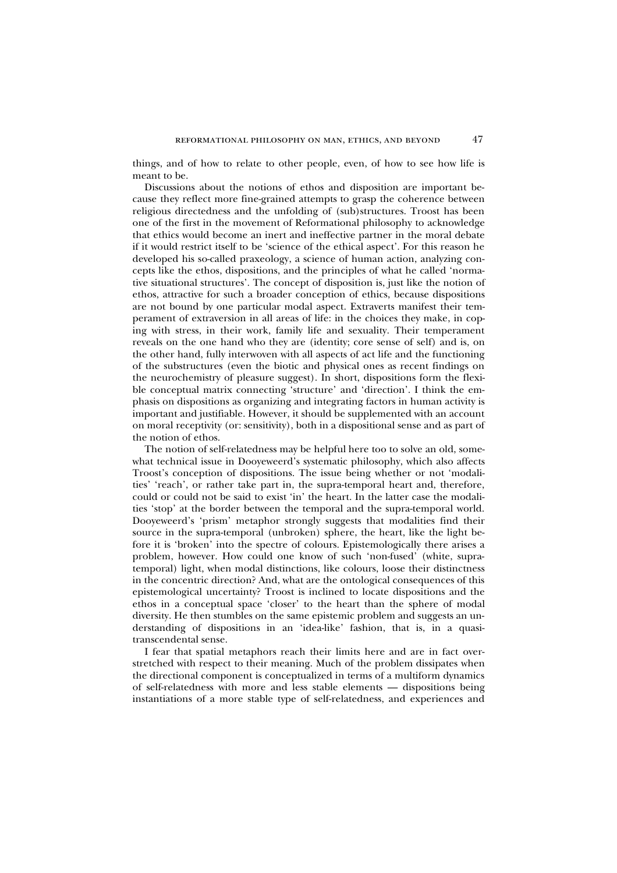things, and of how to relate to other people, even, of how to see how life is meant to be.

Discussions about the notions of ethos and disposition are important because they reflect more fine-grained attempts to grasp the coherence between religious directedness and the unfolding of (sub)structures. Troost has been one of the first in the movement of Reformational philosophy to acknowledge that ethics would become an inert and ineffective partner in the moral debate if it would restrict itself to be 'science of the ethical aspect'. For this reason he developed his so-called praxeology, a science of human action, analyzing concepts like the ethos, dispositions, and the principles of what he called 'normative situational structures'. The concept of disposition is, just like the notion of ethos, attractive for such a broader conception of ethics, because dispositions are not bound by one particular modal aspect. Extraverts manifest their temperament of extraversion in all areas of life: in the choices they make, in coping with stress, in their work, family life and sexuality. Their temperament reveals on the one hand who they are (identity; core sense of self) and is, on the other hand, fully interwoven with all aspects of act life and the functioning of the substructures (even the biotic and physical ones as recent findings on the neurochemistry of pleasure suggest). In short, dispositions form the flexible conceptual matrix connecting 'structure' and 'direction'. I think the emphasis on dispositions as organizing and integrating factors in human activity is important and justifiable. However, it should be supplemented with an account on moral receptivity (or: sensitivity), both in a dispositional sense and as part of the notion of ethos.

The notion of self-relatedness may be helpful here too to solve an old, somewhat technical issue in Dooyeweerd's systematic philosophy, which also affects Troost's conception of dispositions. The issue being whether or not 'modalities' 'reach', or rather take part in, the supra-temporal heart and, therefore, could or could not be said to exist 'in' the heart. In the latter case the modalities 'stop' at the border between the temporal and the supra-temporal world. Dooyeweerd's 'prism' metaphor strongly suggests that modalities find their source in the supra-temporal (unbroken) sphere, the heart, like the light before it is 'broken' into the spectre of colours. Epistemologically there arises a problem, however. How could one know of such 'non-fused' (white, supratemporal) light, when modal distinctions, like colours, loose their distinctness in the concentric direction? And, what are the ontological consequences of this epistemological uncertainty? Troost is inclined to locate dispositions and the ethos in a conceptual space 'closer' to the heart than the sphere of modal diversity. He then stumbles on the same epistemic problem and suggests an understanding of dispositions in an 'idea-like' fashion, that is, in a quasitranscendental sense.

I fear that spatial metaphors reach their limits here and are in fact overstretched with respect to their meaning. Much of the problem dissipates when the directional component is conceptualized in terms of a multiform dynamics of self-relatedness with more and less stable elements — dispositions being instantiations of a more stable type of self-relatedness, and experiences and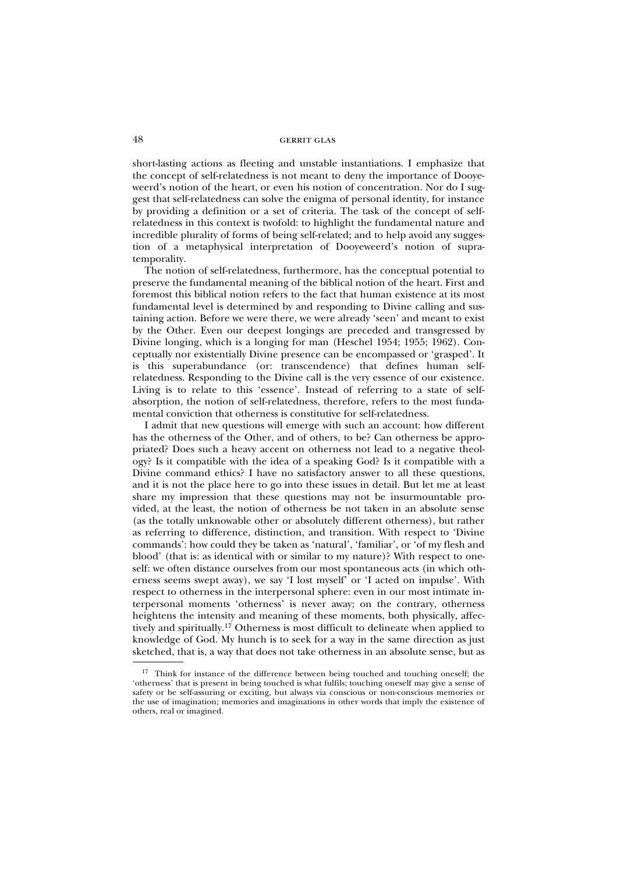short-lasting actions as fleeting and unstable instantiations. I emphasize that the concept of self-relatedness is not meant to deny the importance of Dooyeweerd's notion of the heart, or even his notion of concentration. Nor do I suggest that self-relatedness can solve the enigma of personal identity, for instance by providing a definition or a set of criteria. The task of the concept of selfrelatedness in this context is twofold: to highlight the fundamental nature and incredible plurality of forms of being self-related; and to help avoid any suggestion of a metaphysical interpretation of Dooyeweerd's notion of supratemporality.

The notion of self-relatedness, furthermore, has the conceptual potential to preserve the fundamental meaning of the biblical notion of the heart. First and foremost this biblical notion refers to the fact that human existence at its most fundamental level is determined by and responding to Divine calling and sustaining action. Before we were there, we were already 'seen' and meant to exist by the Other. Even our deepest longings are preceded and transgressed by Divine longing, which is a longing for man (Heschel 1954; 1955; 1962). Conceptually nor existentially Divine presence can be encompassed or 'grasped'. It is this superabundance (or: transcendence) that defines human selfrelatedness. Responding to the Divine call is the very essence of our existence. Living is to relate to this 'essence'. Instead of referring to a state of selfabsorption, the notion of self-relatedness, therefore, refers to the most fundamental conviction that otherness is constitutive for self-relatedness.

I admit that new questions will emerge with such an account: how different has the otherness of the Other, and of others, to be? Can otherness be appropriated? Does such a heavy accent on otherness not lead to a negative theology? Is it compatible with the idea of a speaking God? Is it compatible with a Divine command ethics? I have no satisfactory answer to all these questions, and it is not the place here to go into these issues in detail. But let me at least share my impression that these questions may not be insurmountable provided, at the least, the notion of otherness be not taken in an absolute sense (as the totally unknowable other or absolutely different otherness), but rather as referring to difference, distinction, and transition. With respect to 'Divine commands': how could they be taken as 'natural', 'familiar', or 'of my flesh and blood' (that is: as identical with or similar to my nature)? With respect to oneself: we often distance ourselves from our most spontaneous acts (in which otherness seems swept away), we say 'I lost myself' or 'I acted on impulse'. With respect to otherness in the interpersonal sphere: even in our most intimate interpersonal moments 'otherness' is never away; on the contrary, otherness heightens the intensity and meaning of these moments, both physically, affectively and spiritually.17 Otherness is most difficult to delineate when applied to knowledge of God. My hunch is to seek for a way in the same direction as just sketched, that is, a way that does not take otherness in an absolute sense, but as

<sup>&</sup>lt;sup>17</sup> Think for instance of the difference between being touched and touching oneself; the 'otherness' that is present in being touched is what fulfils; touching oneself may give a sense of safety or be self-assuring or exciting, but always via conscious or non-conscious memories or the use of imagination; memories and imaginations in other words that imply the existence of others, real or imagined.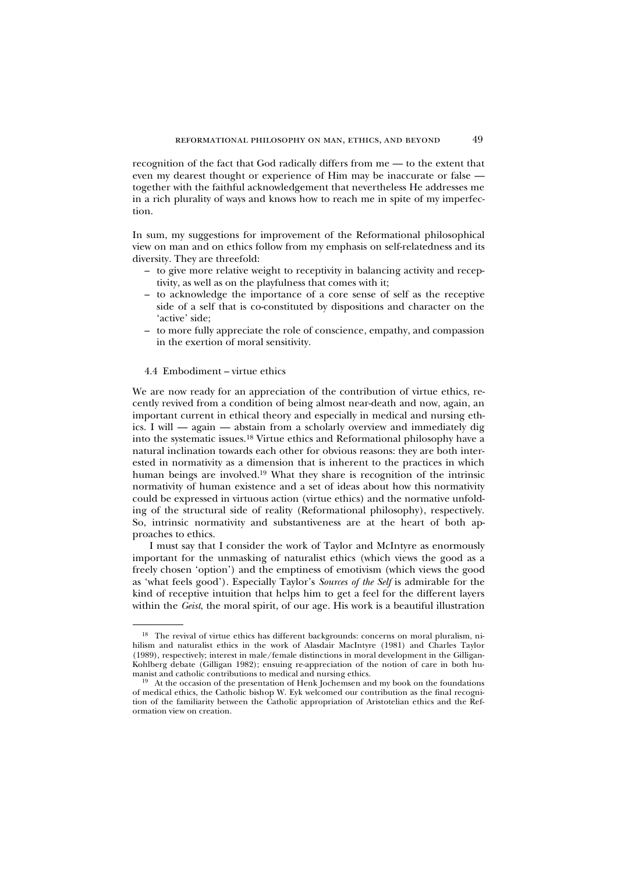recognition of the fact that God radically differs from me — to the extent that even my dearest thought or experience of Him may be inaccurate or false together with the faithful acknowledgement that nevertheless He addresses me in a rich plurality of ways and knows how to reach me in spite of my imperfection.

In sum, my suggestions for improvement of the Reformational philosophical view on man and on ethics follow from my emphasis on self-relatedness and its diversity. They are threefold:

- to give more relative weight to receptivity in balancing activity and receptivity, as well as on the playfulness that comes with it;
- to acknowledge the importance of a core sense of self as the receptive side of a self that is co-constituted by dispositions and character on the 'active' side;
- to more fully appreciate the role of conscience, empathy, and compassion in the exertion of moral sensitivity.

#### 4.4 Embodiment – virtue ethics

We are now ready for an appreciation of the contribution of virtue ethics, recently revived from a condition of being almost near-death and now, again, an important current in ethical theory and especially in medical and nursing ethics. I will — again — abstain from a scholarly overview and immediately dig into the systematic issues.18 Virtue ethics and Reformational philosophy have a natural inclination towards each other for obvious reasons: they are both interested in normativity as a dimension that is inherent to the practices in which human beings are involved.19 What they share is recognition of the intrinsic normativity of human existence and a set of ideas about how this normativity could be expressed in virtuous action (virtue ethics) and the normative unfolding of the structural side of reality (Reformational philosophy), respectively. So, intrinsic normativity and substantiveness are at the heart of both approaches to ethics.

I must say that I consider the work of Taylor and McIntyre as enormously important for the unmasking of naturalist ethics (which views the good as a freely chosen 'option') and the emptiness of emotivism (which views the good as 'what feels good'). Especially Taylor's *Sources of the Self* is admirable for the kind of receptive intuition that helps him to get a feel for the different layers within the *Geist*, the moral spirit, of our age. His work is a beautiful illustration

<sup>&</sup>lt;sup>18</sup> The revival of virtue ethics has different backgrounds: concerns on moral pluralism, nihilism and naturalist ethics in the work of Alasdair MacIntyre (1981) and Charles Taylor (1989), respectively; interest in male/female distinctions in moral development in the Gilligan-Kohlberg debate (Gilligan 1982); ensuing re-appreciation of the notion of care in both humanist and catholic contributions to medical and nursing ethics.

 $19$  At the occasion of the presentation of Henk Jochemsen and my book on the foundations of medical ethics, the Catholic bishop W. Eyk welcomed our contribution as the final recognition of the familiarity between the Catholic appropriation of Aristotelian ethics and the Reformation view on creation.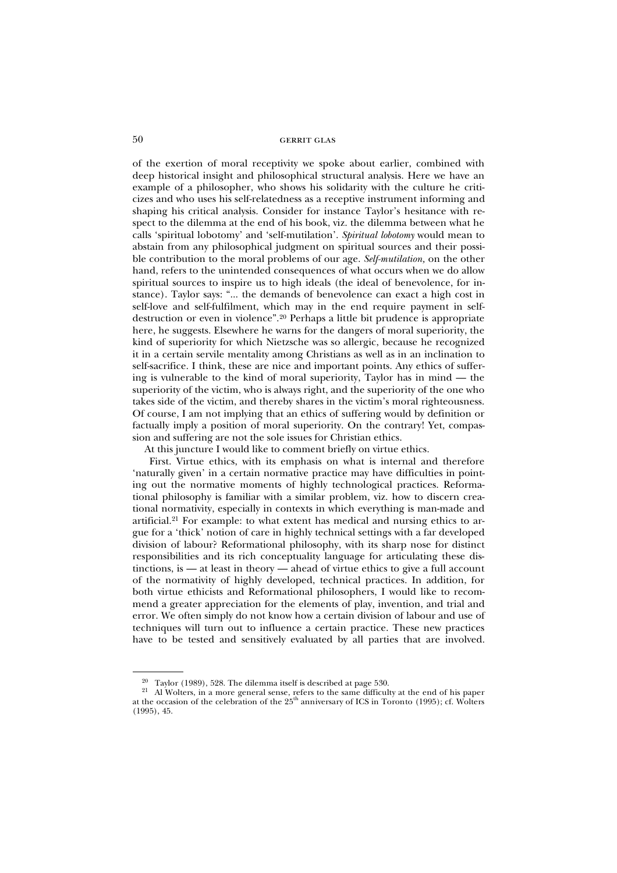of the exertion of moral receptivity we spoke about earlier, combined with deep historical insight and philosophical structural analysis. Here we have an example of a philosopher, who shows his solidarity with the culture he criticizes and who uses his self-relatedness as a receptive instrument informing and shaping his critical analysis. Consider for instance Taylor's hesitance with respect to the dilemma at the end of his book, viz. the dilemma between what he calls 'spiritual lobotomy' and 'self-mutilation'. *Spiritual lobotomy* would mean to abstain from any philosophical judgment on spiritual sources and their possible contribution to the moral problems of our age. *Self-mutilation,* on the other hand, refers to the unintended consequences of what occurs when we do allow spiritual sources to inspire us to high ideals (the ideal of benevolence, for instance). Taylor says: "... the demands of benevolence can exact a high cost in self-love and self-fulfilment, which may in the end require payment in selfdestruction or even in violence".20 Perhaps a little bit prudence is appropriate here, he suggests. Elsewhere he warns for the dangers of moral superiority, the kind of superiority for which Nietzsche was so allergic, because he recognized it in a certain servile mentality among Christians as well as in an inclination to self-sacrifice. I think, these are nice and important points. Any ethics of suffering is vulnerable to the kind of moral superiority, Taylor has in mind — the superiority of the victim, who is always right, and the superiority of the one who takes side of the victim, and thereby shares in the victim's moral righteousness. Of course, I am not implying that an ethics of suffering would by definition or factually imply a position of moral superiority. On the contrary! Yet, compassion and suffering are not the sole issues for Christian ethics.

At this juncture I would like to comment briefly on virtue ethics.

First. Virtue ethics, with its emphasis on what is internal and therefore 'naturally given' in a certain normative practice may have difficulties in pointing out the normative moments of highly technological practices. Reformational philosophy is familiar with a similar problem, viz. how to discern creational normativity, especially in contexts in which everything is man-made and artificial.<sup>21</sup> For example: to what extent has medical and nursing ethics to argue for a 'thick' notion of care in highly technical settings with a far developed division of labour? Reformational philosophy, with its sharp nose for distinct responsibilities and its rich conceptuality language for articulating these distinctions, is — at least in theory — ahead of virtue ethics to give a full account of the normativity of highly developed, technical practices. In addition, for both virtue ethicists and Reformational philosophers, I would like to recommend a greater appreciation for the elements of play, invention, and trial and error. We often simply do not know how a certain division of labour and use of techniques will turn out to influence a certain practice. These new practices have to be tested and sensitively evaluated by all parties that are involved.

 $20$  Taylor (1989), 528. The dilemma itself is described at page 530.

<sup>&</sup>lt;sup>21</sup> Al Wolters, in a more general sense, refers to the same difficulty at the end of his paper at the occasion of the celebration of the  $25^{\rm th}$  anniversary of ICS in Toronto (1995); cf. Wolters  $(1995), 45.$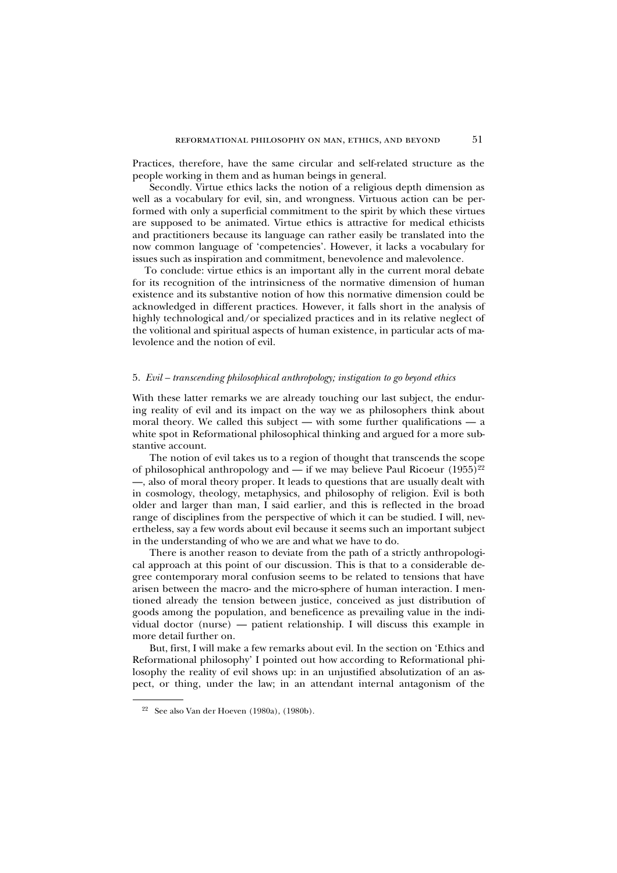Practices, therefore, have the same circular and self-related structure as the people working in them and as human beings in general.

Secondly. Virtue ethics lacks the notion of a religious depth dimension as well as a vocabulary for evil, sin, and wrongness. Virtuous action can be performed with only a superficial commitment to the spirit by which these virtues are supposed to be animated. Virtue ethics is attractive for medical ethicists and practitioners because its language can rather easily be translated into the now common language of 'competencies'. However, it lacks a vocabulary for issues such as inspiration and commitment, benevolence and malevolence.

To conclude: virtue ethics is an important ally in the current moral debate for its recognition of the intrinsicness of the normative dimension of human existence and its substantive notion of how this normative dimension could be acknowledged in different practices. However, it falls short in the analysis of highly technological and/or specialized practices and in its relative neglect of the volitional and spiritual aspects of human existence, in particular acts of malevolence and the notion of evil.

#### 5. *Evil – transcending philosophical anthropology; instigation to go beyond ethics*

With these latter remarks we are already touching our last subject, the enduring reality of evil and its impact on the way we as philosophers think about moral theory. We called this subject — with some further qualifications — a white spot in Reformational philosophical thinking and argued for a more substantive account.

The notion of evil takes us to a region of thought that transcends the scope of philosophical anthropology and — if we may believe Paul Ricoeur  $(1955)^{22}$ —, also of moral theory proper. It leads to questions that are usually dealt with in cosmology, theology, metaphysics, and philosophy of religion. Evil is both older and larger than man, I said earlier, and this is reflected in the broad range of disciplines from the perspective of which it can be studied. I will, nevertheless, say a few words about evil because it seems such an important subject in the understanding of who we are and what we have to do.

There is another reason to deviate from the path of a strictly anthropological approach at this point of our discussion. This is that to a considerable degree contemporary moral confusion seems to be related to tensions that have arisen between the macro- and the micro-sphere of human interaction. I mentioned already the tension between justice, conceived as just distribution of goods among the population, and beneficence as prevailing value in the individual doctor (nurse) — patient relationship. I will discuss this example in more detail further on.

But, first, I will make a few remarks about evil. In the section on 'Ethics and Reformational philosophy' I pointed out how according to Reformational philosophy the reality of evil shows up: in an unjustified absolutization of an aspect, or thing, under the law; in an attendant internal antagonism of the

 $22$  See also Van der Hoeven (1980a), (1980b).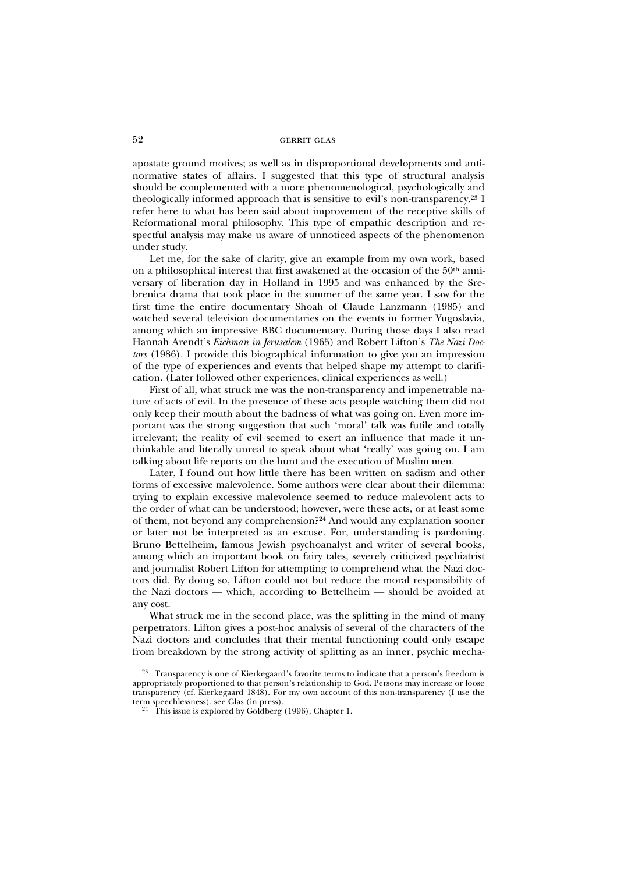apostate ground motives; as well as in disproportional developments and antinormative states of affairs. I suggested that this type of structural analysis should be complemented with a more phenomenological, psychologically and theologically informed approach that is sensitive to evil's non-transparency.23 I refer here to what has been said about improvement of the receptive skills of Reformational moral philosophy. This type of empathic description and respectful analysis may make us aware of unnoticed aspects of the phenomenon under study.

Let me, for the sake of clarity, give an example from my own work, based on a philosophical interest that first awakened at the occasion of the  $50<sup>th</sup>$  anniversary of liberation day in Holland in 1995 and was enhanced by the Srebrenica drama that took place in the summer of the same year. I saw for the first time the entire documentary Shoah of Claude Lanzmann (1985) and watched several television documentaries on the events in former Yugoslavia, among which an impressive BBC documentary. During those days I also read Hannah Arendt's *Eichman in Jerusalem* (1965) and Robert Lifton's *The Nazi Doctors* (1986). I provide this biographical information to give you an impression of the type of experiences and events that helped shape my attempt to clarification. (Later followed other experiences, clinical experiences as well.)

First of all, what struck me was the non-transparency and impenetrable nature of acts of evil. In the presence of these acts people watching them did not only keep their mouth about the badness of what was going on. Even more important was the strong suggestion that such 'moral' talk was futile and totally irrelevant; the reality of evil seemed to exert an influence that made it unthinkable and literally unreal to speak about what 'really' was going on. I am talking about life reports on the hunt and the execution of Muslim men.

Later, I found out how little there has been written on sadism and other forms of excessive malevolence. Some authors were clear about their dilemma: trying to explain excessive malevolence seemed to reduce malevolent acts to the order of what can be understood; however, were these acts, or at least some of them, not beyond any comprehension?<sup>24</sup> And would any explanation sooner or later not be interpreted as an excuse. For, understanding is pardoning. Bruno Bettelheim, famous Jewish psychoanalyst and writer of several books, among which an important book on fairy tales, severely criticized psychiatrist and journalist Robert Lifton for attempting to comprehend what the Nazi doctors did. By doing so, Lifton could not but reduce the moral responsibility of the Nazi doctors — which, according to Bettelheim — should be avoided at any cost.

What struck me in the second place, was the splitting in the mind of many perpetrators. Lifton gives a post-hoc analysis of several of the characters of the Nazi doctors and concludes that their mental functioning could only escape from breakdown by the strong activity of splitting as an inner, psychic mecha-

<sup>23</sup> Transparency is one of Kierkegaard's favorite terms to indicate that a person's freedom is appropriately proportioned to that person's relationship to God. Persons may increase or loose transparency (cf. Kierkegaard 1848). For my own account of this non-transparency (I use the term speechlessness), see Glas (in press).

 $24$  This issue is explored by Goldberg (1996), Chapter 1.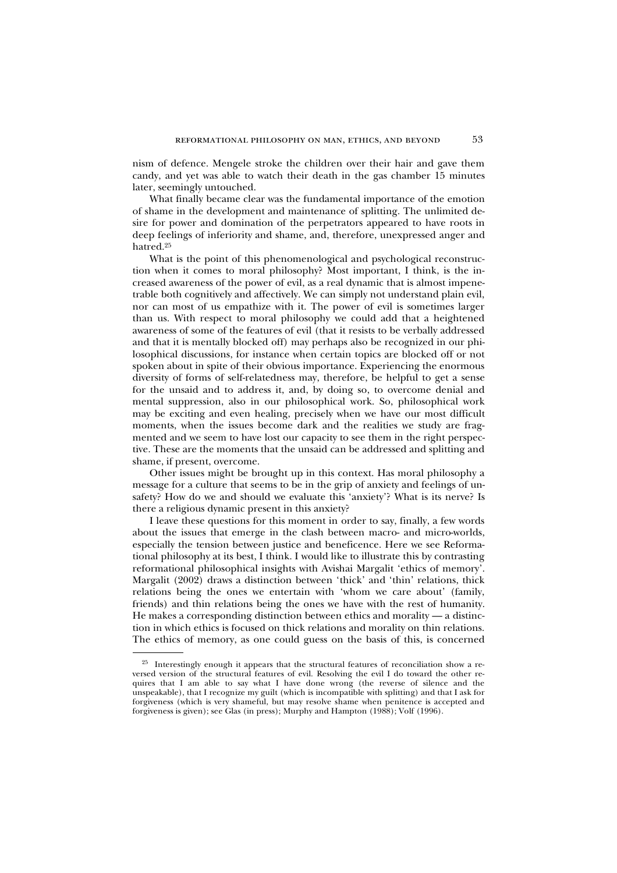nism of defence. Mengele stroke the children over their hair and gave them candy, and yet was able to watch their death in the gas chamber 15 minutes later, seemingly untouched.

What finally became clear was the fundamental importance of the emotion of shame in the development and maintenance of splitting. The unlimited desire for power and domination of the perpetrators appeared to have roots in deep feelings of inferiority and shame, and, therefore, unexpressed anger and hatred.25

What is the point of this phenomenological and psychological reconstruction when it comes to moral philosophy? Most important, I think, is the increased awareness of the power of evil, as a real dynamic that is almost impenetrable both cognitively and affectively. We can simply not understand plain evil, nor can most of us empathize with it. The power of evil is sometimes larger than us. With respect to moral philosophy we could add that a heightened awareness of some of the features of evil (that it resists to be verbally addressed and that it is mentally blocked off) may perhaps also be recognized in our philosophical discussions, for instance when certain topics are blocked off or not spoken about in spite of their obvious importance. Experiencing the enormous diversity of forms of self-relatedness may, therefore, be helpful to get a sense for the unsaid and to address it, and, by doing so, to overcome denial and mental suppression, also in our philosophical work. So, philosophical work may be exciting and even healing, precisely when we have our most difficult moments, when the issues become dark and the realities we study are fragmented and we seem to have lost our capacity to see them in the right perspective. These are the moments that the unsaid can be addressed and splitting and shame, if present, overcome.

Other issues might be brought up in this context. Has moral philosophy a message for a culture that seems to be in the grip of anxiety and feelings of unsafety? How do we and should we evaluate this 'anxiety'? What is its nerve? Is there a religious dynamic present in this anxiety?

I leave these questions for this moment in order to say, finally, a few words about the issues that emerge in the clash between macro- and micro-worlds, especially the tension between justice and beneficence. Here we see Reformational philosophy at its best, I think. I would like to illustrate this by contrasting reformational philosophical insights with Avishai Margalit 'ethics of memory'. Margalit (2002) draws a distinction between 'thick' and 'thin' relations, thick relations being the ones we entertain with 'whom we care about' (family, friends) and thin relations being the ones we have with the rest of humanity. He makes a corresponding distinction between ethics and morality — a distinction in which ethics is focused on thick relations and morality on thin relations. The ethics of memory, as one could guess on the basis of this, is concerned

<sup>&</sup>lt;sup>25</sup> Interestingly enough it appears that the structural features of reconciliation show a reversed version of the structural features of evil. Resolving the evil I do toward the other requires that I am able to say what I have done wrong (the reverse of silence and the unspeakable), that I recognize my guilt (which is incompatible with splitting) and that I ask for forgiveness (which is very shameful, but may resolve shame when penitence is accepted and forgiveness is given); see Glas (in press); Murphy and Hampton (1988); Volf (1996).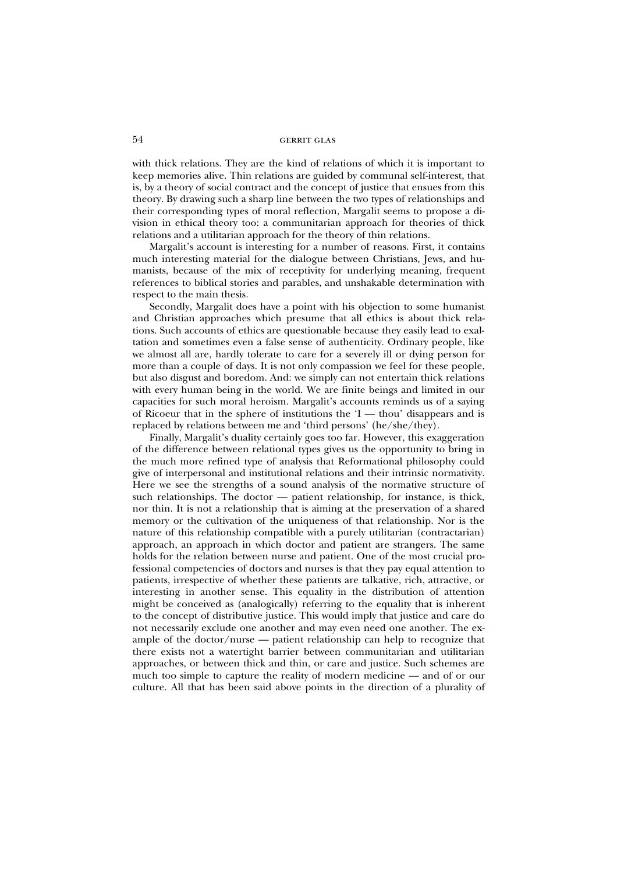with thick relations. They are the kind of relations of which it is important to keep memories alive. Thin relations are guided by communal self-interest, that is, by a theory of social contract and the concept of justice that ensues from this theory. By drawing such a sharp line between the two types of relationships and their corresponding types of moral reflection, Margalit seems to propose a division in ethical theory too: a communitarian approach for theories of thick relations and a utilitarian approach for the theory of thin relations.

Margalit's account is interesting for a number of reasons. First, it contains much interesting material for the dialogue between Christians, Jews, and humanists, because of the mix of receptivity for underlying meaning, frequent references to biblical stories and parables, and unshakable determination with respect to the main thesis.

Secondly, Margalit does have a point with his objection to some humanist and Christian approaches which presume that all ethics is about thick relations. Such accounts of ethics are questionable because they easily lead to exaltation and sometimes even a false sense of authenticity. Ordinary people, like we almost all are, hardly tolerate to care for a severely ill or dying person for more than a couple of days. It is not only compassion we feel for these people, but also disgust and boredom. And: we simply can not entertain thick relations with every human being in the world. We are finite beings and limited in our capacities for such moral heroism. Margalit's accounts reminds us of a saying of Ricoeur that in the sphere of institutions the 'I — thou' disappears and is replaced by relations between me and 'third persons' (he/she/they).

Finally, Margalit's duality certainly goes too far. However, this exaggeration of the difference between relational types gives us the opportunity to bring in the much more refined type of analysis that Reformational philosophy could give of interpersonal and institutional relations and their intrinsic normativity. Here we see the strengths of a sound analysis of the normative structure of such relationships. The doctor — patient relationship, for instance, is thick, nor thin. It is not a relationship that is aiming at the preservation of a shared memory or the cultivation of the uniqueness of that relationship. Nor is the nature of this relationship compatible with a purely utilitarian (contractarian) approach, an approach in which doctor and patient are strangers. The same holds for the relation between nurse and patient. One of the most crucial professional competencies of doctors and nurses is that they pay equal attention to patients, irrespective of whether these patients are talkative, rich, attractive, or interesting in another sense. This equality in the distribution of attention might be conceived as (analogically) referring to the equality that is inherent to the concept of distributive justice. This would imply that justice and care do not necessarily exclude one another and may even need one another. The example of the doctor/nurse  $-$  patient relationship can help to recognize that there exists not a watertight barrier between communitarian and utilitarian approaches, or between thick and thin, or care and justice. Such schemes are much too simple to capture the reality of modern medicine — and of or our culture. All that has been said above points in the direction of a plurality of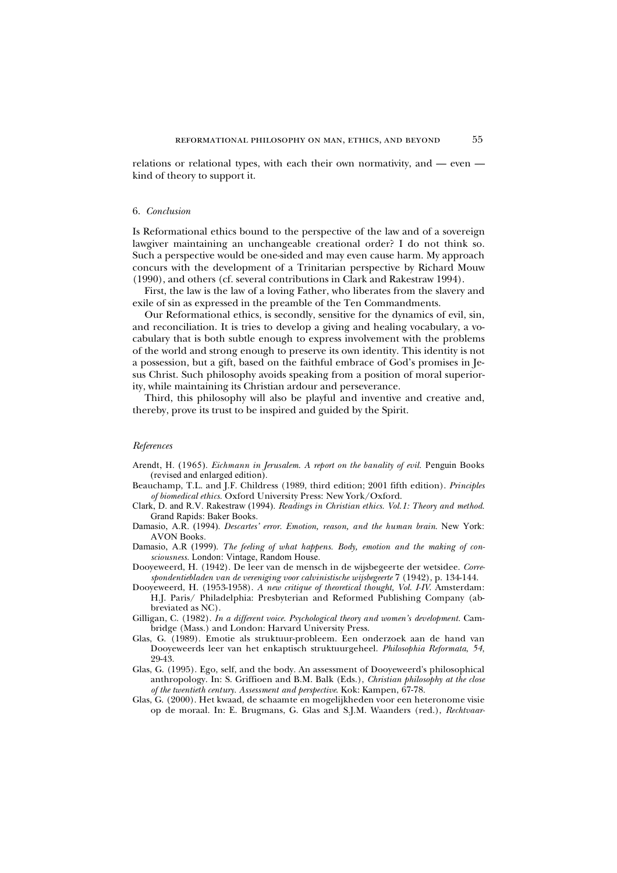relations or relational types, with each their own normativity, and — even kind of theory to support it.

#### 6. *Conclusion*

Is Reformational ethics bound to the perspective of the law and of a sovereign lawgiver maintaining an unchangeable creational order? I do not think so. Such a perspective would be one-sided and may even cause harm. My approach concurs with the development of a Trinitarian perspective by Richard Mouw (1990), and others (cf. several contributions in Clark and Rakestraw 1994).

First, the law is the law of a loving Father, who liberates from the slavery and exile of sin as expressed in the preamble of the Ten Commandments.

Our Reformational ethics, is secondly, sensitive for the dynamics of evil, sin, and reconciliation. It is tries to develop a giving and healing vocabulary, a vocabulary that is both subtle enough to express involvement with the problems of the world and strong enough to preserve its own identity. This identity is not a possession, but a gift, based on the faithful embrace of God's promises in Jesus Christ. Such philosophy avoids speaking from a position of moral superiority, while maintaining its Christian ardour and perseverance.

Third, this philosophy will also be playful and inventive and creative and, thereby, prove its trust to be inspired and guided by the Spirit.

## *References*

- Arendt, H. (1965). *Eichmann in Jerusalem. A report on the banality of evil*. Penguin Books (revised and enlarged edition).
- Beauchamp, T.L. and J.F. Childress (1989, third edition; 2001 fifth edition). *Principles of biomedical ethics.* Oxford University Press: New York/Oxford.
- Clark, D. and R.V. Rakestraw (1994). *Readings in Christian ethics. Vol.1: Theory and method*. Grand Rapids: Baker Books.
- Damasio, A.R. (1994). *Descartes' error. Emotion, reason, and the human brain*. New York: AVON Books.
- Damasio, A.R (1999). *The feeling of what happens. Body, emotion and the making of consciousness.* London: Vintage, Random House.
- Dooyeweerd, H. (1942). De leer van de mensch in de wijsbegeerte der wetsidee. *Correspondentiebladen van de vereniging voor calvinistische wijsbegeerte* 7 (1942), p. 134-144.
- Dooyeweerd, H. (1953-1958). *A new critique of theoretical thought, Vol. I-IV*. Amsterdam: H.J. Paris/ Philadelphia: Presbyterian and Reformed Publishing Company (abbreviated as NC).
- Gilligan, C. (1982). *In a different voice. Psychological theory and women's development.* Cambridge (Mass.) and London: Harvard University Press.
- Glas, G. (1989). Emotie als struktuur-probleem. Een onderzoek aan de hand van Dooyeweerds leer van het enkaptisch struktuurgeheel. *Philosophia Reformata*, *54*, 29-43.
- Glas, G. (1995). Ego, self, and the body. An assessment of Dooyeweerd's philosophical anthropology. In: S. Griffioen and B.M. Balk (Eds.), *Christian philosophy at the close of the twentieth century. Assessment and perspective*. Kok: Kampen, 67-78.
- Glas, G. (2000). Het kwaad, de schaamte en mogelijkheden voor een heteronome visie op de moraal. In: E. Brugmans, G. Glas and S.J.M. Waanders (red.), *Rechtvaar-*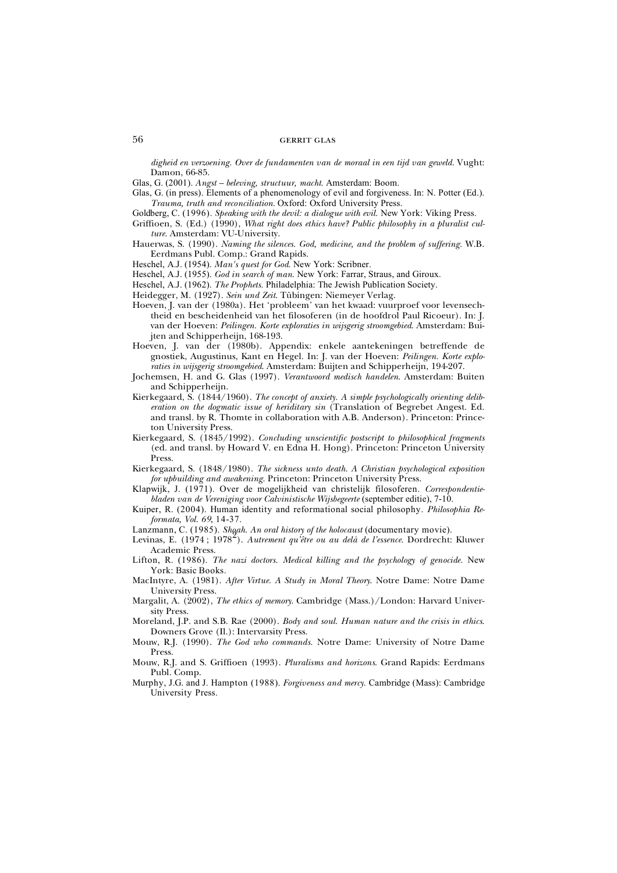*digheid en verzoening. Over de fundamenten van de moraal in een tijd van geweld.* Vught: Damon, 66-85.

Glas, G. (2001). *Angst – beleving, structuur, macht*. Amsterdam: Boom.

Glas, G. (in press). Elements of a phenomenology of evil and forgiveness. In: N. Potter (Ed.). *Trauma, truth and reconciliation*. Oxford: Oxford University Press.

Goldberg, C. (1996). *Speaking with the devil: a dialogue with evil.* New York: Viking Press.

- Griffioen, S. (Ed.) (1990), *What right does ethics have? Public philosophy in a pluralist culture.* Amsterdam: VU-University.
- Hauerwas, S. (1990). *Naming the silences. God, medicine, and the problem of suffering.* W.B. Eerdmans Publ. Comp.: Grand Rapids.
- Heschel, A.J. (1954). *Man's quest for God*. New York: Scribner.
- Heschel, A.J. (1955). *God in search of man*. New York: Farrar, Straus, and Giroux.
- Heschel, A.J. (1962). *The Prophets.* Philadelphia: The Jewish Publication Society.

Heidegger, M. (1927). *Sein und Zeit*. Tübingen: Niemeyer Verlag.

- Hoeven, J. van der (1980a). Het 'probleem' van het kwaad: vuurproef voor levensechtheid en bescheidenheid van het filosoferen (in de hoofdrol Paul Ricoeur). In: J. van der Hoeven: *Peilingen. Korte exploraties in wijsgerig stroomgebied*. Amsterdam: Buijten and Schipperheijn, 168-193.
- Hoeven, J. van der (1980b). Appendix: enkele aantekeningen betreffende de gnostiek, Augustinus, Kant en Hegel. In: J. van der Hoeven: *Peilingen. Korte exploraties in wijsgerig stroomgebied*. Amsterdam: Buijten and Schipperheijn, 194-207.
- Jochemsen, H. and G. Glas (1997). *Verantwoord medisch handelen*. Amsterdam: Buiten and Schipperheijn.
- Kierkegaard, S. (1844/1960). *The concept of anxiety. A simple psychologically orienting deliberation on the dogmatic issue of heriditary sin* (Translation of Begrebet Angest. Ed. and transl. by R. Thomte in collaboration with A.B. Anderson). Princeton: Princeton University Press.
- Kierkegaard, S. (1845/1992). *Concluding unscientific postscript to philosophical fragments* (ed. and transl. by Howard V. en Edna H. Hong). Princeton: Princeton University Press.
- Kierkegaard, S. (1848/1980). *The sickness unto death. A Christian psychological exposition for upbuilding and awakening.* Princeton: Princeton University Press.
- Klapwijk, J. (1971). Over de mogelijkheid van christelijk filosoferen. *Correspondentiebladen van de Vereniging voor Calvinistische Wijsbegeerte* (september editie), 7-10.
- Kuiper, R. (2004). Human identity and reformational social philosophy. *Philosophia Reformata, Vol. 69*, 14-37.
- Lanzmann, C. (1985). *Shoah. An oral history of the holocaust* (documentary movie).
- Levinas, E. (1974 ; <sup>1978</sup><sup>2</sup> ). *Autrement qu'être ou au delà de l'essence.* Dordrecht: Kluwer Academic Press.
- Lifton, R. (1986). *The nazi doctors. Medical killing and the psychology of genocide.* New York: Basic Books.
- MacIntyre, A. (1981). *After Virtue. A Study in Moral Theory*. Notre Dame: Notre Dame University Press.
- Margalit, A. (2002), *The ethics of memory*. Cambridge (Mass.)/London: Harvard University Press.
- Moreland, J.P. and S.B. Rae (2000). *Body and soul. Human nature and the crisis in ethics*. Downers Grove (Il.): Intervarsity Press.
- Mouw, R.J. (1990). *The God who commands.* Notre Dame: University of Notre Dame Press.
- Mouw, R.J. and S. Griffioen (1993). *Pluralisms and horizons*. Grand Rapids: Eerdmans Publ. Comp.
- Murphy, J.G. and J. Hampton (1988). *Forgiveness and mercy*. Cambridge (Mass): Cambridge University Press.